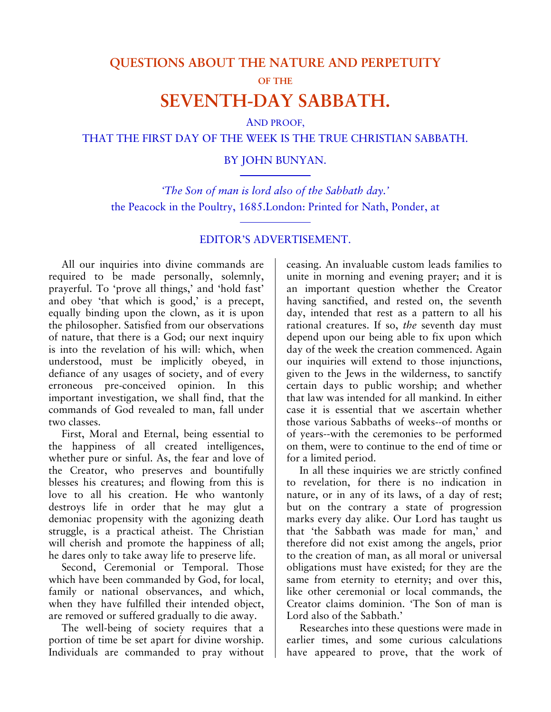# **QUESTIONS ABOUT THE NATURE AND PERPETUITY OF THE SEVENTH-DAY SABBATH.**

AND PROOF,

THAT THE FIRST DAY OF THE WEEK IS THE TRUE CHRISTIAN SABBATH.

#### BY JOHN BUNYAN.

*'The Son of man is lord also of the Sabbath day.'* the Peacock in the Poultry, 1685.London: Printed for Nath, Ponder, at

#### EDITOR'S ADVERTISEMENT.

 All our inquiries into divine commands are required to be made personally, solemnly, prayerful. To 'prove all things,' and 'hold fast' and obey 'that which is good,' is a precept, equally binding upon the clown, as it is upon the philosopher. Satisfied from our observations of nature, that there is a God; our next inquiry is into the revelation of his will: which, when understood, must be implicitly obeyed, in defiance of any usages of society, and of every erroneous pre-conceived opinion. In this important investigation, we shall find, that the commands of God revealed to man, fall under two classes.

 First, Moral and Eternal, being essential to the happiness of all created intelligences, whether pure or sinful. As, the fear and love of the Creator, who preserves and bountifully blesses his creatures; and flowing from this is love to all his creation. He who wantonly destroys life in order that he may glut a demoniac propensity with the agonizing death struggle, is a practical atheist. The Christian will cherish and promote the happiness of all; he dares only to take away life to preserve life.

 Second, Ceremonial or Temporal. Those which have been commanded by God, for local, family or national observances, and which, when they have fulfilled their intended object, are removed or suffered gradually to die away.

 The well-being of society requires that a portion of time be set apart for divine worship. Individuals are commanded to pray without

ceasing. An invaluable custom leads families to unite in morning and evening prayer; and it is an important question whether the Creator having sanctified, and rested on, the seventh day, intended that rest as a pattern to all his rational creatures. If so, *the* seventh day must depend upon our being able to fix upon which day of the week the creation commenced. Again our inquiries will extend to those injunctions, given to the Jews in the wilderness, to sanctify certain days to public worship; and whether that law was intended for all mankind. In either case it is essential that we ascertain whether those various Sabbaths of weeks--of months or of years--with the ceremonies to be performed on them, were to continue to the end of time or for a limited period.

 In all these inquiries we are strictly confined to revelation, for there is no indication in nature, or in any of its laws, of a day of rest; but on the contrary a state of progression marks every day alike. Our Lord has taught us that 'the Sabbath was made for man,' and therefore did not exist among the angels, prior to the creation of man, as all moral or universal obligations must have existed; for they are the same from eternity to eternity; and over this, like other ceremonial or local commands, the Creator claims dominion. 'The Son of man is Lord also of the Sabbath.'

 Researches into these questions were made in earlier times, and some curious calculations have appeared to prove, that the work of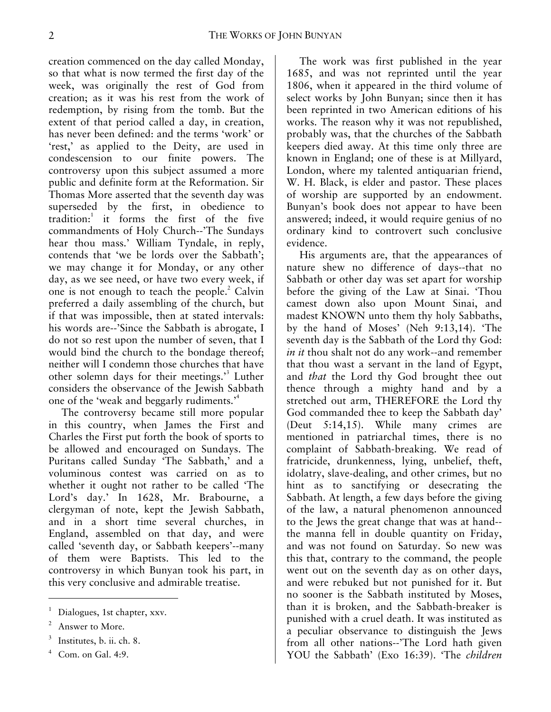creation commenced on the day called Monday, so that what is now termed the first day of the week, was originally the rest of God from creation; as it was his rest from the work of redemption, by rising from the tomb. But the extent of that period called a day, in creation, has never been defined: and the terms 'work' or 'rest,' as applied to the Deity, are used in condescension to our finite powers. The controversy upon this subject assumed a more public and definite form at the Reformation. Sir Thomas More asserted that the seventh day was superseded by the first, in obedience to tradition: $\frac{1}{1}$  it forms the first of the five commandments of Holy Church--'The Sundays hear thou mass.' William Tyndale, in reply, contends that 'we be lords over the Sabbath'; we may change it for Monday, or any other day, as we see need, or have two every week, if one is not enough to teach the people. $^{2}$  Calvin preferred a daily assembling of the church, but if that was impossible, then at stated intervals: his words are--'Since the Sabbath is abrogate, I do not so rest upon the number of seven, that I would bind the church to the bondage thereof; neither will I condemn those churches that have other solemn days for their meetings.'<sup>3</sup> Luther considers the observance of the Jewish Sabbath one of the 'weak and beggarly rudiments.'<sup>4</sup>

 The controversy became still more popular in this country, when James the First and Charles the First put forth the book of sports to be allowed and encouraged on Sundays. The Puritans called Sunday 'The Sabbath,' and a voluminous contest was carried on as to whether it ought not rather to be called 'The Lord's day.' In 1628, Mr. Brabourne, a clergyman of note, kept the Jewish Sabbath, and in a short time several churches, in England, assembled on that day, and were called 'seventh day, or Sabbath keepers'--many of them were Baptists. This led to the controversy in which Bunyan took his part, in this very conclusive and admirable treatise.

Institutes, b. ii. ch. 8.

 The work was first published in the year 1685, and was not reprinted until the year 1806, when it appeared in the third volume of select works by John Bunyan; since then it has been reprinted in two American editions of his works. The reason why it was not republished, probably was, that the churches of the Sabbath keepers died away. At this time only three are known in England; one of these is at Millyard, London, where my talented antiquarian friend, W. H. Black, is elder and pastor. These places of worship are supported by an endowment. Bunyan's book does not appear to have been answered; indeed, it would require genius of no ordinary kind to controvert such conclusive evidence.

 His arguments are, that the appearances of nature shew no difference of days--that no Sabbath or other day was set apart for worship before the giving of the Law at Sinai. 'Thou camest down also upon Mount Sinai, and madest KNOWN unto them thy holy Sabbaths, by the hand of Moses' (Neh 9:13,14). 'The seventh day is the Sabbath of the Lord thy God: *in it* thou shalt not do any work--and remember that thou wast a servant in the land of Egypt, and *that* the Lord thy God brought thee out thence through a mighty hand and by a stretched out arm, THEREFORE the Lord thy God commanded thee to keep the Sabbath day' (Deut 5:14,15). While many crimes are mentioned in patriarchal times, there is no complaint of Sabbath-breaking. We read of fratricide, drunkenness, lying, unbelief, theft, idolatry, slave-dealing, and other crimes, but no hint as to sanctifying or desecrating the Sabbath. At length, a few days before the giving of the law, a natural phenomenon announced to the Jews the great change that was at hand- the manna fell in double quantity on Friday, and was not found on Saturday. So new was this that, contrary to the command, the people went out on the seventh day as on other days, and were rebuked but not punished for it. But no sooner is the Sabbath instituted by Moses, than it is broken, and the Sabbath-breaker is punished with a cruel death. It was instituted as a peculiar observance to distinguish the Jews from all other nations--'The Lord hath given YOU the Sabbath' (Exo 16:39). 'The *children* 

Dialogues, 1st chapter, xxv.

Answer to More.

 $4$  Com. on Gal. 4:9.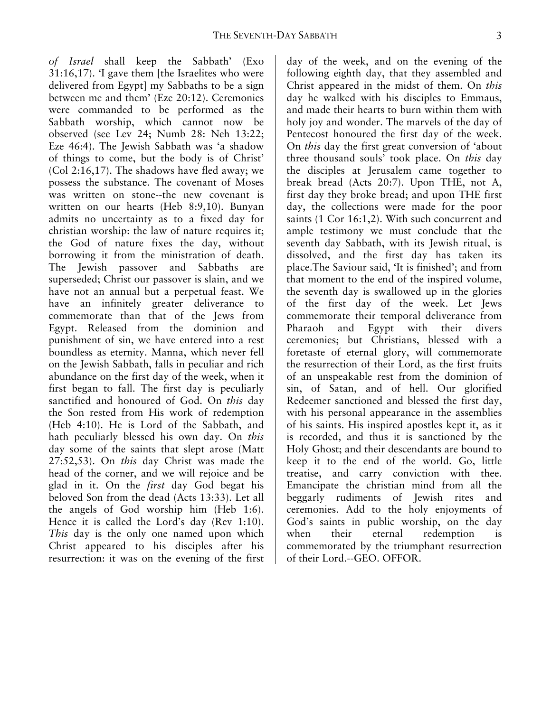*of Israel* shall keep the Sabbath' (Exo 31:16,17). 'I gave them [the Israelites who were delivered from Egypt] my Sabbaths to be a sign between me and them' (Eze 20:12). Ceremonies were commanded to be performed as the Sabbath worship, which cannot now be observed (see Lev 24; Numb 28: Neh 13:22; Eze 46:4). The Jewish Sabbath was 'a shadow of things to come, but the body is of Christ' (Col 2:16,17). The shadows have fled away; we possess the substance. The covenant of Moses was written on stone--the new covenant is written on our hearts (Heb 8:9,10). Bunyan admits no uncertainty as to a fixed day for christian worship: the law of nature requires it; the God of nature fixes the day, without borrowing it from the ministration of death. The Jewish passover and Sabbaths are superseded; Christ our passover is slain, and we have not an annual but a perpetual feast. We have an infinitely greater deliverance to commemorate than that of the Jews from Egypt. Released from the dominion and punishment of sin, we have entered into a rest boundless as eternity. Manna, which never fell on the Jewish Sabbath, falls in peculiar and rich abundance on the first day of the week, when it first began to fall. The first day is peculiarly sanctified and honoured of God. On *this* day the Son rested from His work of redemption (Heb 4:10). He is Lord of the Sabbath, and hath peculiarly blessed his own day. On *this* day some of the saints that slept arose (Matt 27:52,53). On *this* day Christ was made the head of the corner, and we will rejoice and be glad in it. On the *first* day God begat his beloved Son from the dead (Acts 13:33). Let all the angels of God worship him (Heb 1:6). Hence it is called the Lord's day (Rev 1:10). *This* day is the only one named upon which Christ appeared to his disciples after his resurrection: it was on the evening of the first

day of the week, and on the evening of the following eighth day, that they assembled and Christ appeared in the midst of them. On *this* day he walked with his disciples to Emmaus, and made their hearts to burn within them with holy joy and wonder. The marvels of the day of Pentecost honoured the first day of the week. On *this* day the first great conversion of 'about three thousand souls' took place. On *this* day the disciples at Jerusalem came together to break bread (Acts 20:7). Upon THE, not A, first day they broke bread; and upon THE first day, the collections were made for the poor saints (1 Cor 16:1,2). With such concurrent and ample testimony we must conclude that the seventh day Sabbath, with its Jewish ritual, is dissolved, and the first day has taken its place.The Saviour said, 'It is finished'; and from that moment to the end of the inspired volume, the seventh day is swallowed up in the glories of the first day of the week. Let Jews commemorate their temporal deliverance from Pharaoh and Egypt with their divers ceremonies; but Christians, blessed with a foretaste of eternal glory, will commemorate the resurrection of their Lord, as the first fruits of an unspeakable rest from the dominion of sin, of Satan, and of hell. Our glorified Redeemer sanctioned and blessed the first day, with his personal appearance in the assemblies of his saints. His inspired apostles kept it, as it is recorded, and thus it is sanctioned by the Holy Ghost; and their descendants are bound to keep it to the end of the world. Go, little treatise, and carry conviction with thee. Emancipate the christian mind from all the beggarly rudiments of Jewish rites and ceremonies. Add to the holy enjoyments of God's saints in public worship, on the day when their eternal redemption is commemorated by the triumphant resurrection of their Lord.--GEO. OFFOR.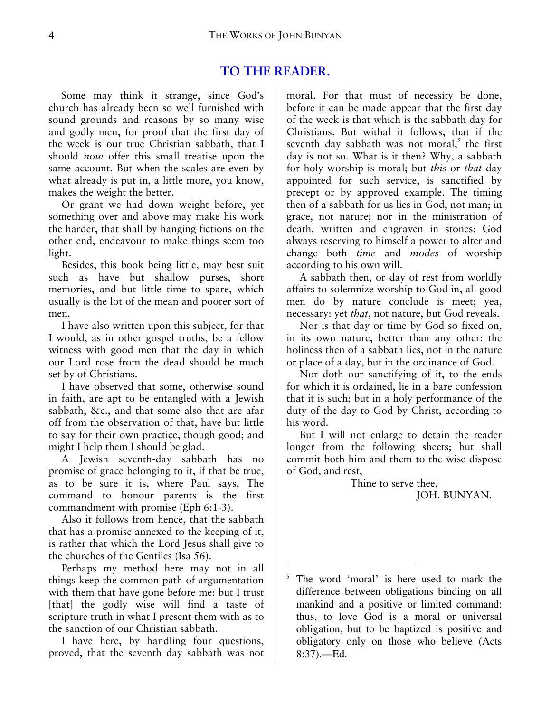### **TO THE READER.**

 Some may think it strange, since God's church has already been so well furnished with sound grounds and reasons by so many wise and godly men, for proof that the first day of the week is our true Christian sabbath, that I should *now* offer this small treatise upon the same account. But when the scales are even by what already is put in, a little more, you know, makes the weight the better.

 Or grant we had down weight before, yet something over and above may make his work the harder, that shall by hanging fictions on the other end, endeavour to make things seem too light.

 Besides, this book being little, may best suit such as have but shallow purses, short memories, and but little time to spare, which usually is the lot of the mean and poorer sort of men.

 I have also written upon this subject, for that I would, as in other gospel truths, be a fellow witness with good men that the day in which our Lord rose from the dead should be much set by of Christians.

 I have observed that some, otherwise sound in faith, are apt to be entangled with a Jewish sabbath, &c., and that some also that are afar off from the observation of that, have but little to say for their own practice, though good; and might I help them I should be glad.

 A Jewish seventh-day sabbath has no promise of grace belonging to it, if that be true, as to be sure it is, where Paul says, The command to honour parents is the first commandment with promise (Eph 6:1-3).

 Also it follows from hence, that the sabbath that has a promise annexed to the keeping of it, is rather that which the Lord Jesus shall give to the churches of the Gentiles (Isa 56).

 Perhaps my method here may not in all things keep the common path of argumentation with them that have gone before me: but I trust [that] the godly wise will find a taste of scripture truth in what I present them with as to the sanction of our Christian sabbath.

 I have here, by handling four questions, proved, that the seventh day sabbath was not moral. For that must of necessity be done, before it can be made appear that the first day of the week is that which is the sabbath day for Christians. But withal it follows, that if the seventh day sabbath was not moral, $^5$  the first day is not so. What is it then? Why, a sabbath for holy worship is moral; but *this* or *that* day appointed for such service, is sanctified by precept or by approved example. The timing then of a sabbath for us lies in God, not man; in grace, not nature; nor in the ministration of death, written and engraven in stones: God always reserving to himself a power to alter and change both *time* and *modes* of worship according to his own will.

 A sabbath then, or day of rest from worldly affairs to solemnize worship to God in, all good men do by nature conclude is meet; yea, necessary: yet *that*, not nature, but God reveals.

 Nor is that day or time by God so fixed on, in its own nature, better than any other: the holiness then of a sabbath lies, not in the nature or place of a day, but in the ordinance of God.

 Nor doth our sanctifying of it, to the ends for which it is ordained, lie in a bare confession that it is such; but in a holy performance of the duty of the day to God by Christ, according to his word.

 But I will not enlarge to detain the reader longer from the following sheets; but shall commit both him and them to the wise dispose of God, and rest,

> Thine to serve thee, JOH. BUNYAN.

<sup>&</sup>lt;sup>5</sup> The word 'moral' is here used to mark the difference between obligations binding on all mankind and a positive or limited command: thus, to love God is a moral or universal obligation, but to be baptized is positive and obligatory only on those who believe (Acts 8:37).—Ed.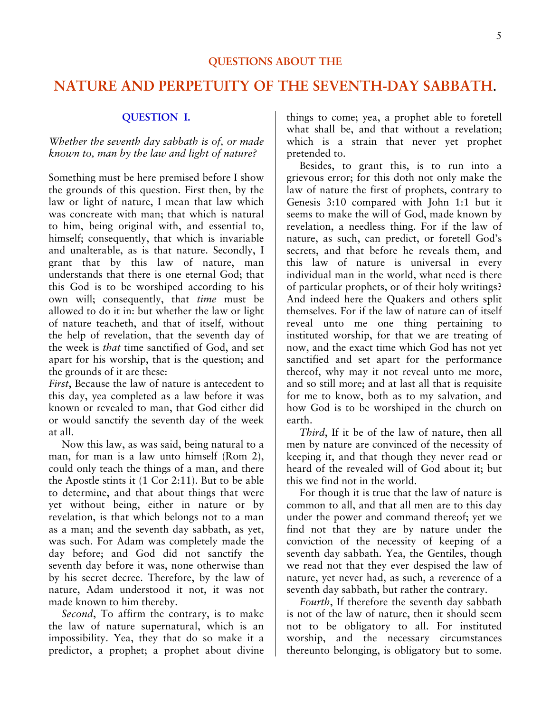#### **QUESTIONS ABOUT THE**

## **NATURE AND PERPETUITY OF THE SEVENTH-DAY SABBATH**.

#### **QUESTION I.**

#### *Whether the seventh day sabbath is of, or made known to, man by the law and light of nature?*

Something must be here premised before I show the grounds of this question. First then, by the law or light of nature, I mean that law which was concreate with man; that which is natural to him, being original with, and essential to, himself; consequently, that which is invariable and unalterable, as is that nature. Secondly, I grant that by this law of nature, man understands that there is one eternal God; that this God is to be worshiped according to his own will; consequently, that *time* must be allowed to do it in: but whether the law or light of nature teacheth, and that of itself, without the help of revelation, that the seventh day of the week is *that* time sanctified of God, and set apart for his worship, that is the question; and the grounds of it are these:

*First*, Because the law of nature is antecedent to this day, yea completed as a law before it was known or revealed to man, that God either did or would sanctify the seventh day of the week at all.

 Now this law, as was said, being natural to a man, for man is a law unto himself (Rom 2), could only teach the things of a man, and there the Apostle stints it (1 Cor 2:11). But to be able to determine, and that about things that were yet without being, either in nature or by revelation, is that which belongs not to a man as a man; and the seventh day sabbath, as yet, was such. For Adam was completely made the day before; and God did not sanctify the seventh day before it was, none otherwise than by his secret decree. Therefore, by the law of nature, Adam understood it not, it was not made known to him thereby.

 *Second*, To affirm the contrary, is to make the law of nature supernatural, which is an impossibility. Yea, they that do so make it a predictor, a prophet; a prophet about divine things to come; yea, a prophet able to foretell what shall be, and that without a revelation; which is a strain that never yet prophet pretended to.

 Besides, to grant this, is to run into a grievous error; for this doth not only make the law of nature the first of prophets, contrary to Genesis 3:10 compared with John 1:1 but it seems to make the will of God, made known by revelation, a needless thing. For if the law of nature, as such, can predict, or foretell God's secrets, and that before he reveals them, and this law of nature is universal in every individual man in the world, what need is there of particular prophets, or of their holy writings? And indeed here the Quakers and others split themselves. For if the law of nature can of itself reveal unto me one thing pertaining to instituted worship, for that we are treating of now, and the exact time which God has not yet sanctified and set apart for the performance thereof, why may it not reveal unto me more, and so still more; and at last all that is requisite for me to know, both as to my salvation, and how God is to be worshiped in the church on earth.

 *Third*, If it be of the law of nature, then all men by nature are convinced of the necessity of keeping it, and that though they never read or heard of the revealed will of God about it; but this we find not in the world.

 For though it is true that the law of nature is common to all, and that all men are to this day under the power and command thereof; yet we find not that they are by nature under the conviction of the necessity of keeping of a seventh day sabbath. Yea, the Gentiles, though we read not that they ever despised the law of nature, yet never had, as such, a reverence of a seventh day sabbath, but rather the contrary.

 *Fourth*, If therefore the seventh day sabbath is not of the law of nature, then it should seem not to be obligatory to all. For instituted worship, and the necessary circumstances thereunto belonging, is obligatory but to some.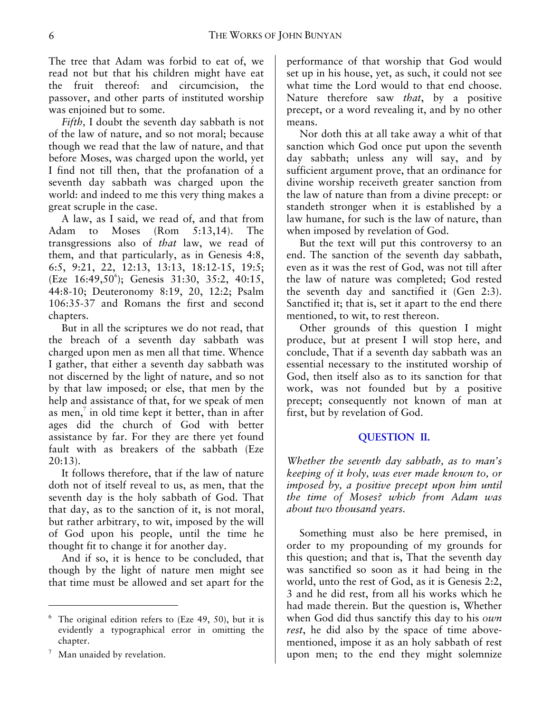The tree that Adam was forbid to eat of, we read not but that his children might have eat the fruit thereof: and circumcision, the passover, and other parts of instituted worship was enjoined but to some.

 *Fifth,* I doubt the seventh day sabbath is not of the law of nature, and so not moral; because though we read that the law of nature, and that before Moses, was charged upon the world, yet I find not till then, that the profanation of a seventh day sabbath was charged upon the world: and indeed to me this very thing makes a great scruple in the case.

 A law, as I said, we read of, and that from Adam to Moses (Rom 5:13,14). The transgressions also of *that* law, we read of them, and that particularly, as in Genesis 4:8, 6:5, 9:21, 22, 12:13, 13:13, 18:12-15, 19:5; (Eze 16:49,50°); Genesis 31:30, 35:2, 40:15, 44:8-10; Deuteronomy 8:19, 20, 12:2; Psalm 106:35-37 and Romans the first and second chapters.

 But in all the scriptures we do not read, that the breach of a seventh day sabbath was charged upon men as men all that time. Whence I gather, that either a seventh day sabbath was not discerned by the light of nature, and so not by that law imposed; or else, that men by the help and assistance of that, for we speak of men as men, $\frac{7}{7}$  in old time kept it better, than in after ages did the church of God with better assistance by far. For they are there yet found fault with as breakers of the sabbath (Eze 20:13).

 It follows therefore, that if the law of nature doth not of itself reveal to us, as men, that the seventh day is the holy sabbath of God. That that day, as to the sanction of it, is not moral, but rather arbitrary, to wit, imposed by the will of God upon his people, until the time he thought fit to change it for another day.

 And if so, it is hence to be concluded, that though by the light of nature men might see that time must be allowed and set apart for the

Man unaided by revelation.

performance of that worship that God would set up in his house, yet, as such, it could not see what time the Lord would to that end choose. Nature therefore saw *that*, by a positive precept, or a word revealing it, and by no other means.

 Nor doth this at all take away a whit of that sanction which God once put upon the seventh day sabbath; unless any will say, and by sufficient argument prove, that an ordinance for divine worship receiveth greater sanction from the law of nature than from a divine precept: or standeth stronger when it is established by a law humane, for such is the law of nature, than when imposed by revelation of God.

 But the text will put this controversy to an end. The sanction of the seventh day sabbath, even as it was the rest of God, was not till after the law of nature was completed; God rested the seventh day and sanctified it (Gen 2:3). Sanctified it; that is, set it apart to the end there mentioned, to wit, to rest thereon.

 Other grounds of this question I might produce, but at present I will stop here, and conclude, That if a seventh day sabbath was an essential necessary to the instituted worship of God, then itself also as to its sanction for that work, was not founded but by a positive precept; consequently not known of man at first, but by revelation of God.

#### **QUESTION II.**

*Whether the seventh day sabbath, as to man's keeping of it holy, was ever made known to, or imposed by, a positive precept upon him until the time of Moses? which from Adam was about two thousand years.*

 Something must also be here premised, in order to my propounding of my grounds for this question; and that is, That the seventh day was sanctified so soon as it had being in the world, unto the rest of God, as it is Genesis 2:2, 3 and he did rest, from all his works which he had made therein. But the question is, Whether when God did thus sanctify this day to his *own rest*, he did also by the space of time abovementioned, impose it as an holy sabbath of rest upon men; to the end they might solemnize

 $6$  The original edition refers to (Eze 49, 50), but it is evidently a typographical error in omitting the chapter.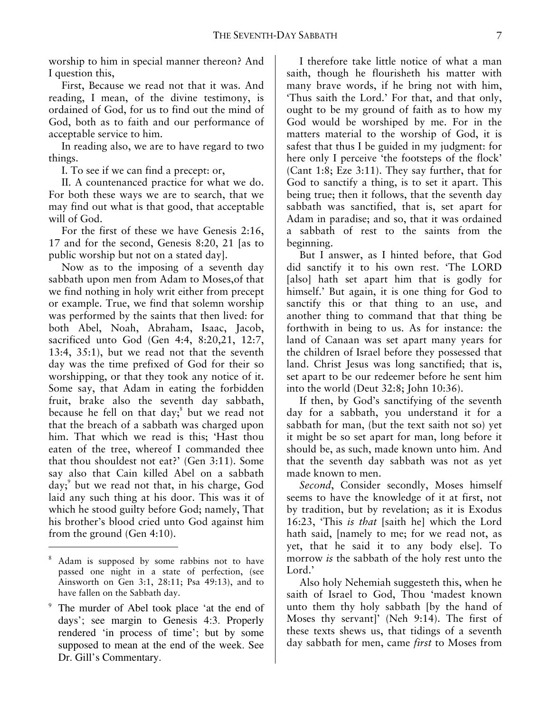worship to him in special manner thereon? And I question this,

 First, Because we read not that it was. And reading, I mean, of the divine testimony, is ordained of God, for us to find out the mind of God, both as to faith and our performance of acceptable service to him.

 In reading also, we are to have regard to two things.

I. To see if we can find a precept: or,

 II. A countenanced practice for what we do. For both these ways we are to search, that we may find out what is that good, that acceptable will of God.

 For the first of these we have Genesis 2:16, 17 and for the second, Genesis 8:20, 21 [as to public worship but not on a stated day].

 Now as to the imposing of a seventh day sabbath upon men from Adam to Moses,of that we find nothing in holy writ either from precept or example. True, we find that solemn worship was performed by the saints that then lived: for both Abel, Noah, Abraham, Isaac, Jacob, sacrificed unto God (Gen 4:4, 8:20,21, 12:7, 13:4, 35:1), but we read not that the seventh day was the time prefixed of God for their so worshipping, or that they took any notice of it. Some say, that Adam in eating the forbidden fruit, brake also the seventh day sabbath, because he fell on that day; but we read not that the breach of a sabbath was charged upon him. That which we read is this; 'Hast thou eaten of the tree, whereof I commanded thee that thou shouldest not eat?' (Gen 3:11). Some say also that Cain killed Abel on a sabbath day;<sup>9</sup> but we read not that, in his charge, God laid any such thing at his door. This was it of which he stood guilty before God; namely, That his brother's blood cried unto God against him from the ground (Gen 4:10).

 I therefore take little notice of what a man saith, though he flourisheth his matter with many brave words, if he bring not with him, 'Thus saith the Lord.' For that, and that only, ought to be my ground of faith as to how my God would be worshiped by me. For in the matters material to the worship of God, it is safest that thus I be guided in my judgment: for here only I perceive 'the footsteps of the flock' (Cant 1:8; Eze 3:11). They say further, that for God to sanctify a thing, is to set it apart. This being true; then it follows, that the seventh day sabbath was sanctified, that is, set apart for Adam in paradise; and so, that it was ordained a sabbath of rest to the saints from the beginning.

 But I answer, as I hinted before, that God did sanctify it to his own rest. 'The LORD [also] hath set apart him that is godly for himself.' But again, it is one thing for God to sanctify this or that thing to an use, and another thing to command that that thing be forthwith in being to us. As for instance: the land of Canaan was set apart many years for the children of Israel before they possessed that land. Christ Jesus was long sanctified; that is, set apart to be our redeemer before he sent him into the world (Deut 32:8; John 10:36).

 If then, by God's sanctifying of the seventh day for a sabbath, you understand it for a sabbath for man, (but the text saith not so) yet it might be so set apart for man, long before it should be, as such, made known unto him. And that the seventh day sabbath was not as yet made known to men.

 *Second*, Consider secondly, Moses himself seems to have the knowledge of it at first, not by tradition, but by revelation; as it is Exodus 16:23, 'This *is that* [saith he] which the Lord hath said, [namely to me; for we read not, as yet, that he said it to any body else]. To morrow *is* the sabbath of the holy rest unto the Lord.'

 Also holy Nehemiah suggesteth this, when he saith of Israel to God, Thou 'madest known unto them thy holy sabbath [by the hand of Moses thy servant]' (Neh 9:14). The first of these texts shews us, that tidings of a seventh day sabbath for men, came *first* to Moses from

Adam is supposed by some rabbins not to have passed one night in a state of perfection, (see Ainsworth on Gen 3:1, 28:11; Psa 49:13), and to have fallen on the Sabbath day.

<sup>9</sup> The murder of Abel took place 'at the end of days'; see margin to Genesis 4:3. Properly rendered 'in process of time'; but by some supposed to mean at the end of the week. See Dr. Gill's Commentary.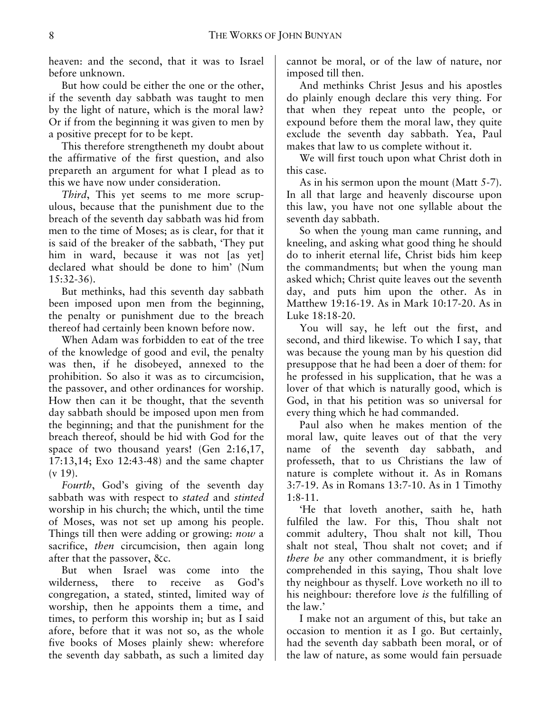heaven: and the second, that it was to Israel before unknown.

 But how could be either the one or the other, if the seventh day sabbath was taught to men by the light of nature, which is the moral law? Or if from the beginning it was given to men by a positive precept for to be kept.

 This therefore strengtheneth my doubt about the affirmative of the first question, and also prepareth an argument for what I plead as to this we have now under consideration.

 *Third*, This yet seems to me more scrupulous, because that the punishment due to the breach of the seventh day sabbath was hid from men to the time of Moses; as is clear, for that it is said of the breaker of the sabbath, 'They put him in ward, because it was not [as yet] declared what should be done to him' (Num 15:32-36).

 But methinks, had this seventh day sabbath been imposed upon men from the beginning, the penalty or punishment due to the breach thereof had certainly been known before now.

 When Adam was forbidden to eat of the tree of the knowledge of good and evil, the penalty was then, if he disobeyed, annexed to the prohibition. So also it was as to circumcision, the passover, and other ordinances for worship. How then can it be thought, that the seventh day sabbath should be imposed upon men from the beginning; and that the punishment for the breach thereof, should be hid with God for the space of two thousand years! (Gen 2:16,17, 17:13,14; Exo 12:43-48) and the same chapter  $(v 19)$ .

 *Fourth*, God's giving of the seventh day sabbath was with respect to *stated* and *stinted* worship in his church; the which, until the time of Moses, was not set up among his people. Things till then were adding or growing: *now* a sacrifice, *then* circumcision, then again long after that the passover, &c.

 But when Israel was come into the wilderness, there to receive as God's congregation, a stated, stinted, limited way of worship, then he appoints them a time, and times, to perform this worship in; but as I said afore, before that it was not so, as the whole five books of Moses plainly shew: wherefore the seventh day sabbath, as such a limited day cannot be moral, or of the law of nature, nor imposed till then.

 And methinks Christ Jesus and his apostles do plainly enough declare this very thing. For that when they repeat unto the people, or expound before them the moral law, they quite exclude the seventh day sabbath. Yea, Paul makes that law to us complete without it.

 We will first touch upon what Christ doth in this case.

 As in his sermon upon the mount (Matt 5-7). In all that large and heavenly discourse upon this law, you have not one syllable about the seventh day sabbath.

 So when the young man came running, and kneeling, and asking what good thing he should do to inherit eternal life, Christ bids him keep the commandments; but when the young man asked which; Christ quite leaves out the seventh day, and puts him upon the other. As in Matthew 19:16-19. As in Mark 10:17-20. As in Luke 18:18-20.

 You will say, he left out the first, and second, and third likewise. To which I say, that was because the young man by his question did presuppose that he had been a doer of them: for he professed in his supplication, that he was a lover of that which is naturally good, which is God, in that his petition was so universal for every thing which he had commanded.

 Paul also when he makes mention of the moral law, quite leaves out of that the very name of the seventh day sabbath, and professeth, that to us Christians the law of nature is complete without it. As in Romans 3:7-19. As in Romans 13:7-10. As in 1 Timothy 1:8-11.

 'He that loveth another, saith he, hath fulfiled the law. For this, Thou shalt not commit adultery, Thou shalt not kill, Thou shalt not steal, Thou shalt not covet; and if *there be* any other commandment, it is briefly comprehended in this saying, Thou shalt love thy neighbour as thyself. Love worketh no ill to his neighbour: therefore love *is* the fulfilling of the law.'

 I make not an argument of this, but take an occasion to mention it as I go. But certainly, had the seventh day sabbath been moral, or of the law of nature, as some would fain persuade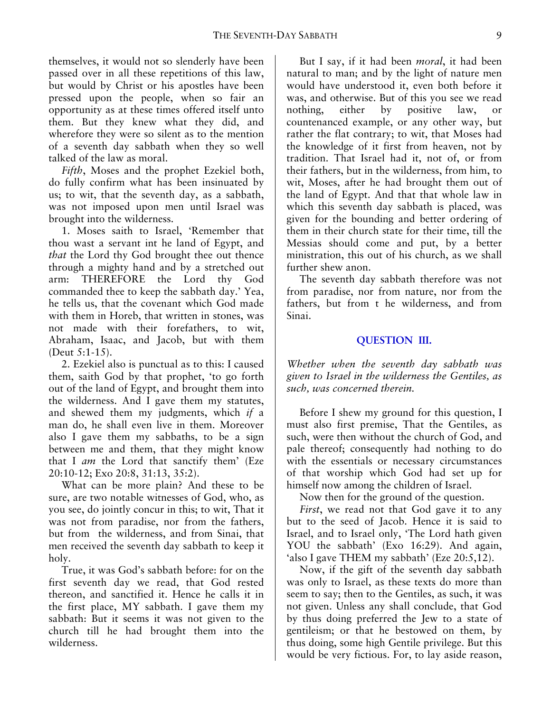themselves, it would not so slenderly have been passed over in all these repetitions of this law, but would by Christ or his apostles have been pressed upon the people, when so fair an opportunity as at these times offered itself unto them. But they knew what they did, and wherefore they were so silent as to the mention of a seventh day sabbath when they so well talked of the law as moral.

 *Fifth*, Moses and the prophet Ezekiel both, do fully confirm what has been insinuated by us; to wit, that the seventh day, as a sabbath, was not imposed upon men until Israel was brought into the wilderness.

 1. Moses saith to Israel, 'Remember that thou wast a servant int he land of Egypt, and *that* the Lord thy God brought thee out thence through a mighty hand and by a stretched out arm: THEREFORE the Lord thy God commanded thee to keep the sabbath day.' Yea, he tells us, that the covenant which God made with them in Horeb, that written in stones, was not made with their forefathers, to wit, Abraham, Isaac, and Jacob, but with them (Deut 5:1-15).

 2. Ezekiel also is punctual as to this: I caused them, saith God by that prophet, 'to go forth out of the land of Egypt, and brought them into the wilderness. And I gave them my statutes, and shewed them my judgments, which *if* a man do, he shall even live in them. Moreover also I gave them my sabbaths, to be a sign between me and them, that they might know that I *am* the Lord that sanctify them' (Eze 20:10-12; Exo 20:8, 31:13, 35:2).

 What can be more plain? And these to be sure, are two notable witnesses of God, who, as you see, do jointly concur in this; to wit, That it was not from paradise, nor from the fathers, but from the wilderness, and from Sinai, that men received the seventh day sabbath to keep it holy.

 True, it was God's sabbath before: for on the first seventh day we read, that God rested thereon, and sanctified it. Hence he calls it in the first place, MY sabbath. I gave them my sabbath: But it seems it was not given to the church till he had brought them into the wilderness.

 But I say, if it had been *moral*, it had been natural to man; and by the light of nature men would have understood it, even both before it was, and otherwise. But of this you see we read nothing, either by positive law, or countenanced example, or any other way, but rather the flat contrary; to wit, that Moses had the knowledge of it first from heaven, not by tradition. That Israel had it, not of, or from their fathers, but in the wilderness, from him, to wit, Moses, after he had brought them out of the land of Egypt. And that that whole law in which this seventh day sabbath is placed, was given for the bounding and better ordering of them in their church state for their time, till the Messias should come and put, by a better ministration, this out of his church, as we shall further shew anon.

 The seventh day sabbath therefore was not from paradise, nor from nature, nor from the fathers, but from t he wilderness, and from Sinai.

#### **QUESTION III.**

*Whether when the seventh day sabbath was given to Israel in the wilderness the Gentiles, as such, was concerned therein.*

 Before I shew my ground for this question, I must also first premise, That the Gentiles, as such, were then without the church of God, and pale thereof; consequently had nothing to do with the essentials or necessary circumstances of that worship which God had set up for himself now among the children of Israel.

Now then for the ground of the question.

 *First*, we read not that God gave it to any but to the seed of Jacob. Hence it is said to Israel, and to Israel only, 'The Lord hath given YOU the sabbath' (Exo 16:29). And again, 'also I gave THEM my sabbath' (Eze 20:5,12).

 Now, if the gift of the seventh day sabbath was only to Israel, as these texts do more than seem to say; then to the Gentiles, as such, it was not given. Unless any shall conclude, that God by thus doing preferred the Jew to a state of gentileism; or that he bestowed on them, by thus doing, some high Gentile privilege. But this would be very fictious. For, to lay aside reason,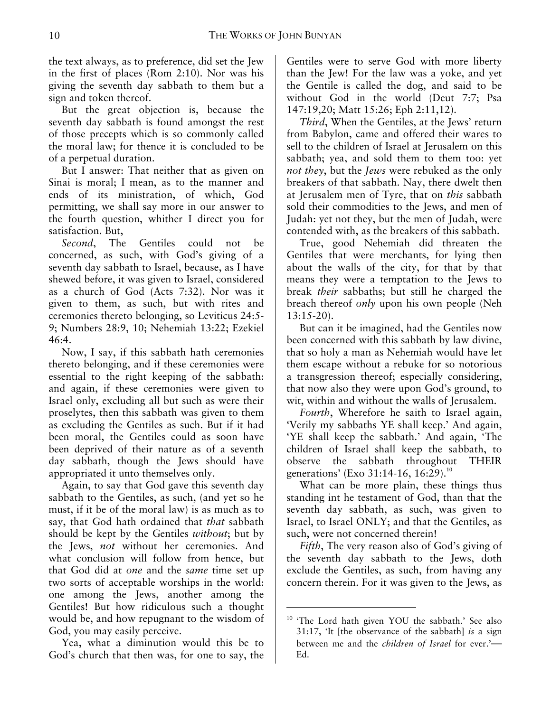the text always, as to preference, did set the Jew in the first of places (Rom 2:10). Nor was his giving the seventh day sabbath to them but a sign and token thereof.

 But the great objection is, because the seventh day sabbath is found amongst the rest of those precepts which is so commonly called the moral law; for thence it is concluded to be of a perpetual duration.

 But I answer: That neither that as given on Sinai is moral; I mean, as to the manner and ends of its ministration, of which, God permitting, we shall say more in our answer to the fourth question, whither I direct you for satisfaction. But,

*Second*, The Gentiles could not be concerned, as such, with God's giving of a seventh day sabbath to Israel, because, as I have shewed before, it was given to Israel, considered as a church of God (Acts 7:32). Nor was it given to them, as such, but with rites and ceremonies thereto belonging, so Leviticus 24:5- 9; Numbers 28:9, 10; Nehemiah 13:22; Ezekiel 46:4.

 Now, I say, if this sabbath hath ceremonies thereto belonging, and if these ceremonies were essential to the right keeping of the sabbath: and again, if these ceremonies were given to Israel only, excluding all but such as were their proselytes, then this sabbath was given to them as excluding the Gentiles as such. But if it had been moral, the Gentiles could as soon have been deprived of their nature as of a seventh day sabbath, though the Jews should have appropriated it unto themselves only.

 Again, to say that God gave this seventh day sabbath to the Gentiles, as such, (and yet so he must, if it be of the moral law) is as much as to say, that God hath ordained that *that* sabbath should be kept by the Gentiles *without*; but by the Jews, *not* without her ceremonies. And what conclusion will follow from hence, but that God did at *one* and the *same* time set up two sorts of acceptable worships in the world: one among the Jews, another among the Gentiles! But how ridiculous such a thought would be, and how repugnant to the wisdom of God, you may easily perceive.

 Yea, what a diminution would this be to God's church that then was, for one to say, the Gentiles were to serve God with more liberty than the Jew! For the law was a yoke, and yet the Gentile is called the dog, and said to be without God in the world (Deut 7:7; Psa 147:19,20; Matt 15:26; Eph 2:11,12).

 *Third*, When the Gentiles, at the Jews' return from Babylon, came and offered their wares to sell to the children of Israel at Jerusalem on this sabbath; yea, and sold them to them too: yet *not they*, but the *Jews* were rebuked as the only breakers of that sabbath. Nay, there dwelt then at Jerusalem men of Tyre, that on *this* sabbath sold their commodities to the Jews, and men of Judah: yet not they, but the men of Judah, were contended with, as the breakers of this sabbath.

 True, good Nehemiah did threaten the Gentiles that were merchants, for lying then about the walls of the city, for that by that means they were a temptation to the Jews to break *their* sabbaths; but still he charged the breach thereof *only* upon his own people (Neh 13:15-20).

 But can it be imagined, had the Gentiles now been concerned with this sabbath by law divine, that so holy a man as Nehemiah would have let them escape without a rebuke for so notorious a transgression thereof; especially considering, that now also they were upon God's ground, to wit, within and without the walls of Jerusalem.

 *Fourth*, Wherefore he saith to Israel again, 'Verily my sabbaths YE shall keep.' And again, 'YE shall keep the sabbath.' And again, 'The children of Israel shall keep the sabbath, to observe the sabbath throughout THEIR generations' (Exo 31:14-16, 16:29).<sup>10</sup>

 What can be more plain, these things thus standing int he testament of God, than that the seventh day sabbath, as such, was given to Israel, to Israel ONLY; and that the Gentiles, as such, were not concerned therein!

 *Fifth*, The very reason also of God's giving of the seventh day sabbath to the Jews, doth exclude the Gentiles, as such, from having any concern therein. For it was given to the Jews, as

<sup>&</sup>lt;sup>10</sup> 'The Lord hath given YOU the sabbath.' See also 31:17, 'It [the observance of the sabbath] *is* a sign between me and the *children of Israel* for ever.'— Ed.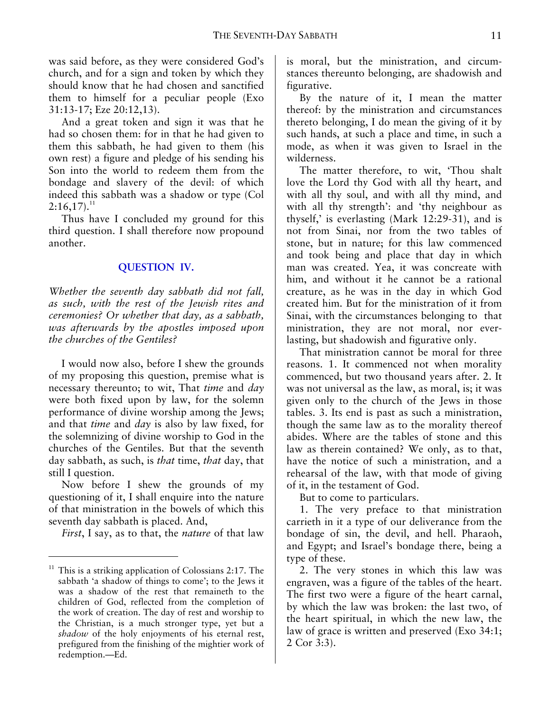was said before, as they were considered God's church, and for a sign and token by which they should know that he had chosen and sanctified them to himself for a peculiar people (Exo 31:13-17; Eze 20:12,13).

 And a great token and sign it was that he had so chosen them: for in that he had given to them this sabbath, he had given to them (his own rest) a figure and pledge of his sending his Son into the world to redeem them from the bondage and slavery of the devil: of which indeed this sabbath was a shadow or type (Col  $2:16,17$ <sup>11</sup>

 Thus have I concluded my ground for this third question. I shall therefore now propound another.

#### **QUESTION IV.**

*Whether the seventh day sabbath did not fall, as such, with the rest of the Jewish rites and ceremonies? Or whether that day, as a sabbath, was afterwards by the apostles imposed upon the churches of the Gentiles?*

 I would now also, before I shew the grounds of my proposing this question, premise what is necessary thereunto; to wit, That *time* and *day*  were both fixed upon by law, for the solemn performance of divine worship among the Jews; and that *time* and *day* is also by law fixed, for the solemnizing of divine worship to God in the churches of the Gentiles. But that the seventh day sabbath, as such, is *that* time, *that* day, that still I question.

 Now before I shew the grounds of my questioning of it, I shall enquire into the nature of that ministration in the bowels of which this seventh day sabbath is placed. And,

 *First*, I say, as to that, the *nature* of that law

is moral, but the ministration, and circumstances thereunto belonging, are shadowish and figurative.

 By the nature of it, I mean the matter thereof: by the ministration and circumstances thereto belonging, I do mean the giving of it by such hands, at such a place and time, in such a mode, as when it was given to Israel in the wilderness.

 The matter therefore, to wit, 'Thou shalt love the Lord thy God with all thy heart, and with all thy soul, and with all thy mind, and with all thy strength': and 'thy neighbour as thyself,' is everlasting (Mark 12:29-31), and is not from Sinai, nor from the two tables of stone, but in nature; for this law commenced and took being and place that day in which man was created. Yea, it was concreate with him, and without it he cannot be a rational creature, as he was in the day in which God created him. But for the ministration of it from Sinai, with the circumstances belonging to that ministration, they are not moral, nor everlasting, but shadowish and figurative only.

 That ministration cannot be moral for three reasons. 1. It commenced not when morality commenced, but two thousand years after. 2. It was not universal as the law, as moral, is; it was given only to the church of the Jews in those tables. 3. Its end is past as such a ministration, though the same law as to the morality thereof abides. Where are the tables of stone and this law as therein contained? We only, as to that, have the notice of such a ministration, and a rehearsal of the law, with that mode of giving of it, in the testament of God.

But to come to particulars.

 1. The very preface to that ministration carrieth in it a type of our deliverance from the bondage of sin, the devil, and hell. Pharaoh, and Egypt; and Israel's bondage there, being a type of these.

 2. The very stones in which this law was engraven, was a figure of the tables of the heart. The first two were a figure of the heart carnal, by which the law was broken: the last two, of the heart spiritual, in which the new law, the law of grace is written and preserved (Exo 34:1; 2 Cor 3:3).

This is a striking application of Colossians 2:17. The sabbath 'a shadow of things to come'; to the Jews it was a shadow of the rest that remaineth to the children of God, reflected from the completion of the work of creation. The day of rest and worship to the Christian, is a much stronger type, yet but a *shadow* of the holy enjoyments of his eternal rest, prefigured from the finishing of the mightier work of redemption.—Ed.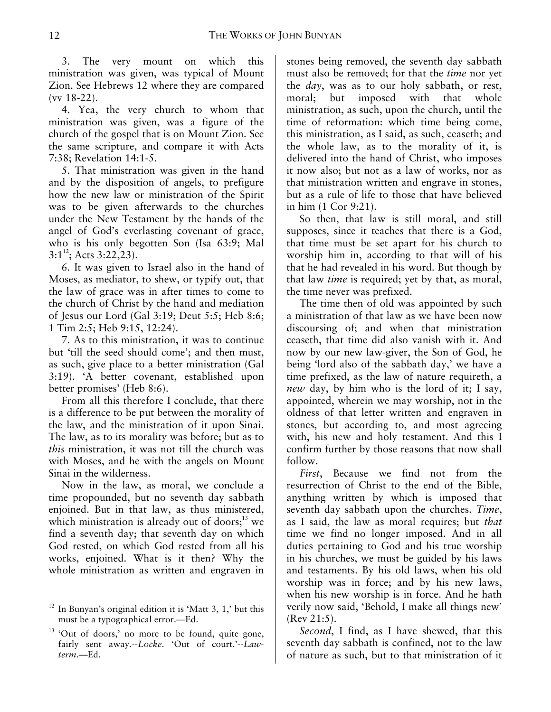3. The very mount on which this ministration was given, was typical of Mount Zion. See Hebrews 12 where they are compared (vv 18-22).

 4. Yea, the very church to whom that ministration was given, was a figure of the church of the gospel that is on Mount Zion. See the same scripture, and compare it with Acts 7:38; Revelation 14:1-5.

 5. That ministration was given in the hand and by the disposition of angels, to prefigure how the new law or ministration of the Spirit was to be given afterwards to the churches under the New Testament by the hands of the angel of God's everlasting covenant of grace, who is his only begotten Son (Isa 63:9; Mal  $3:1^{12}$ ; Acts 3:22,23).

 6. It was given to Israel also in the hand of Moses, as mediator, to shew, or typify out, that the law of grace was in after times to come to the church of Christ by the hand and mediation of Jesus our Lord (Gal 3:19; Deut 5:5; Heb 8:6; 1 Tim 2:5; Heb 9:15, 12:24).

 7. As to this ministration, it was to continue but 'till the seed should come'; and then must, as such, give place to a better ministration (Gal 3:19). 'A better covenant, established upon better promises' (Heb 8:6).

 From all this therefore I conclude, that there is a difference to be put between the morality of the law, and the ministration of it upon Sinai. The law, as to its morality was before; but as to *this* ministration, it was not till the church was with Moses, and he with the angels on Mount Sinai in the wilderness.

 Now in the law, as moral, we conclude a time propounded, but no seventh day sabbath enjoined. But in that law, as thus ministered, which ministration is already out of doors; $^{13}$  we find a seventh day; that seventh day on which God rested, on which God rested from all his works, enjoined. What is it then? Why the whole ministration as written and engraven in stones being removed, the seventh day sabbath must also be removed; for that the *time* nor yet the *day*, was as to our holy sabbath, or rest, moral; but imposed with that whole ministration, as such, upon the church, until the time of reformation: which time being come, this ministration, as I said, as such, ceaseth; and the whole law, as to the morality of it, is delivered into the hand of Christ, who imposes it now also; but not as a law of works, nor as that ministration written and engrave in stones, but as a rule of life to those that have believed in him (1 Cor 9:21).

 So then, that law is still moral, and still supposes, since it teaches that there is a God, that time must be set apart for his church to worship him in, according to that will of his that he had revealed in his word. But though by that law *time* is required; yet by that, as moral, the time never was prefixed.

 The time then of old was appointed by such a ministration of that law as we have been now discoursing of; and when that ministration ceaseth, that time did also vanish with it. And now by our new law-giver, the Son of God, he being 'lord also of the sabbath day,' we have a time prefixed, as the law of nature requireth, a *new* day, by him who is the lord of it; I say, appointed, wherein we may worship, not in the oldness of that letter written and engraven in stones, but according to, and most agreeing with, his new and holy testament. And this I confirm further by those reasons that now shall follow.

 *First*, Because we find not from the resurrection of Christ to the end of the Bible, anything written by which is imposed that seventh day sabbath upon the churches. *Time*, as I said, the law as moral requires; but *that* time we find no longer imposed. And in all duties pertaining to God and his true worship in his churches, we must be guided by his laws and testaments. By his old laws, when his old worship was in force; and by his new laws, when his new worship is in force. And he hath verily now said, 'Behold, I make all things new' (Rev 21:5).

 *Second*, I find, as I have shewed, that this seventh day sabbath is confined, not to the law of nature as such, but to that ministration of it

 $12$  In Bunyan's original edition it is 'Matt 3, 1,' but this must be a typographical error.—Ed.

 $13$  'Out of doors,' no more to be found, quite gone, fairly sent away.--*Locke*. 'Out of court.'--*Lawterm*.—Ed.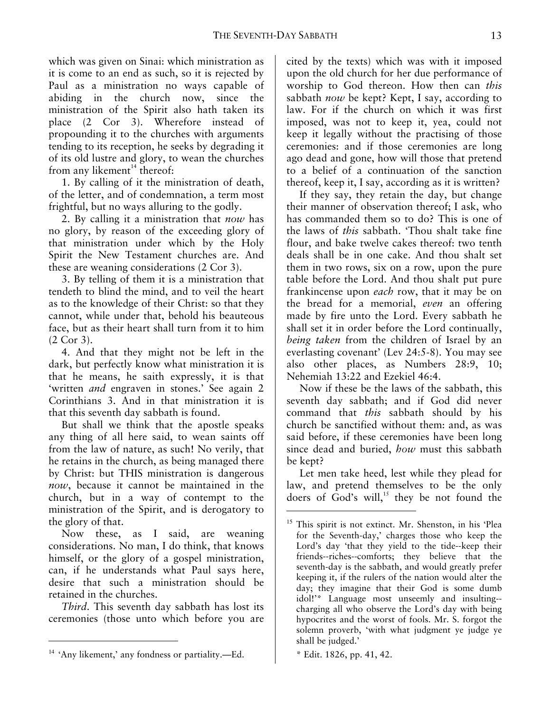which was given on Sinai: which ministration as it is come to an end as such, so it is rejected by Paul as a ministration no ways capable of abiding in the church now, since the ministration of the Spirit also hath taken its place (2 Cor 3). Wherefore instead of propounding it to the churches with arguments tending to its reception, he seeks by degrading it of its old lustre and glory, to wean the churches from any likement $14$  thereof:

 1. By calling of it the ministration of death, of the letter, and of condemnation, a term most frightful, but no ways alluring to the godly.

 2. By calling it a ministration that *now* has no glory, by reason of the exceeding glory of that ministration under which by the Holy Spirit the New Testament churches are. And these are weaning considerations (2 Cor 3).

 3. By telling of them it is a ministration that tendeth to blind the mind, and to veil the heart as to the knowledge of their Christ: so that they cannot, while under that, behold his beauteous face, but as their heart shall turn from it to him (2 Cor 3).

 4. And that they might not be left in the dark, but perfectly know what ministration it is that he means, he saith expressly, it is that 'written *and* engraven in stones.' See again 2 Corinthians 3. And in that ministration it is that this seventh day sabbath is found.

 But shall we think that the apostle speaks any thing of all here said, to wean saints off from the law of nature, as such! No verily, that he retains in the church, as being managed there by Christ: but THIS ministration is dangerous *now*, because it cannot be maintained in the church, but in a way of contempt to the ministration of the Spirit, and is derogatory to the glory of that.

 Now these, as I said, are weaning considerations. No man, I do think, that knows himself, or the glory of a gospel ministration, can, if he understands what Paul says here, desire that such a ministration should be retained in the churches.

 *Third*. This seventh day sabbath has lost its ceremonies (those unto which before you are cited by the texts) which was with it imposed upon the old church for her due performance of worship to God thereon. How then can *this* sabbath *now* be kept? Kept, I say, according to law. For if the church on which it was first imposed, was not to keep it, yea, could not keep it legally without the practising of those ceremonies: and if those ceremonies are long ago dead and gone, how will those that pretend to a belief of a continuation of the sanction thereof, keep it, I say, according as it is written?

 If they say, they retain the day, but change their manner of observation thereof; I ask, who has commanded them so to do? This is one of the laws of *this* sabbath. 'Thou shalt take fine flour, and bake twelve cakes thereof: two tenth deals shall be in one cake. And thou shalt set them in two rows, six on a row, upon the pure table before the Lord. And thou shalt put pure frankincense upon *each* row, that it may be on the bread for a memorial, *even* an offering made by fire unto the Lord. Every sabbath he shall set it in order before the Lord continually, *being taken* from the children of Israel by an everlasting covenant' (Lev 24:5-8). You may see also other places, as Numbers 28:9, 10; Nehemiah 13:22 and Ezekiel 46:4.

 Now if these be the laws of the sabbath, this seventh day sabbath; and if God did never command that *this* sabbath should by his church be sanctified without them: and, as was said before, if these ceremonies have been long since dead and buried, *how* must this sabbath be kept?

 Let men take heed, lest while they plead for law, and pretend themselves to be the only doers of God's will, $^{15}$  they be not found the

<sup>&</sup>lt;sup>14</sup> 'Any likement,' any fondness or partiality.—Ed.

<sup>&</sup>lt;sup>15</sup> This spirit is not extinct. Mr. Shenston, in his 'Plea for the Seventh-day,' charges those who keep the Lord's day 'that they yield to the tide--keep their friends--riches--comforts; they believe that the seventh-day is the sabbath, and would greatly prefer keeping it, if the rulers of the nation would alter the day; they imagine that their God is some dumb idol!'\* Language most unseemly and insulting- charging all who observe the Lord's day with being hypocrites and the worst of fools. Mr. S. forgot the solemn proverb, 'with what judgment ye judge ye shall be judged.'

 <sup>\*</sup> Edit. 1826, pp. 41, 42.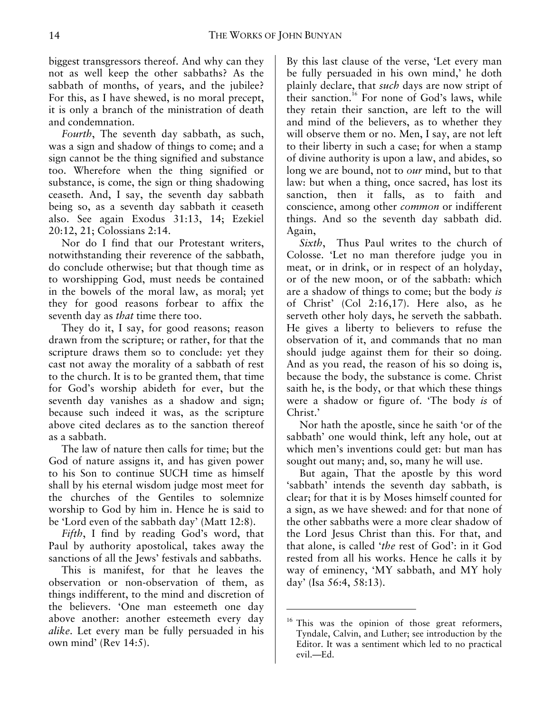biggest transgressors thereof. And why can they not as well keep the other sabbaths? As the sabbath of months, of years, and the jubilee? For this, as I have shewed, is no moral precept, it is only a branch of the ministration of death and condemnation.

 *Fourth*, The seventh day sabbath, as such, was a sign and shadow of things to come; and a sign cannot be the thing signified and substance too. Wherefore when the thing signified or substance, is come, the sign or thing shadowing ceaseth. And, I say, the seventh day sabbath being so, as a seventh day sabbath it ceaseth also. See again Exodus 31:13, 14; Ezekiel 20:12, 21; Colossians 2:14.

 Nor do I find that our Protestant writers, notwithstanding their reverence of the sabbath, do conclude otherwise; but that though time as to worshipping God, must needs be contained in the bowels of the moral law, as moral; yet they for good reasons forbear to affix the seventh day as *that* time there too.

 They do it, I say, for good reasons; reason drawn from the scripture; or rather, for that the scripture draws them so to conclude: yet they cast not away the morality of a sabbath of rest to the church. It is to be granted them, that time for God's worship abideth for ever, but the seventh day vanishes as a shadow and sign; because such indeed it was, as the scripture above cited declares as to the sanction thereof as a sabbath.

 The law of nature then calls for time; but the God of nature assigns it, and has given power to his Son to continue SUCH time as himself shall by his eternal wisdom judge most meet for the churches of the Gentiles to solemnize worship to God by him in. Hence he is said to be 'Lord even of the sabbath day' (Matt 12:8).

 *Fifth*, I find by reading God's word, that Paul by authority apostolical, takes away the sanctions of all the Jews' festivals and sabbaths.

 This is manifest, for that he leaves the observation or non-observation of them, as things indifferent, to the mind and discretion of the believers. 'One man esteemeth one day above another: another esteemeth every day *alike*. Let every man be fully persuaded in his own mind' (Rev 14:5).

By this last clause of the verse, 'Let every man be fully persuaded in his own mind,' he doth plainly declare, that *such* days are now stript of their sanction.<sup>16</sup> For none of God's laws, while they retain their sanction, are left to the will and mind of the believers, as to whether they will observe them or no. Men, I say, are not left to their liberty in such a case; for when a stamp of divine authority is upon a law, and abides, so long we are bound, not to *our* mind, but to that law: but when a thing, once sacred, has lost its sanction, then it falls, as to faith and conscience, among other *common* or indifferent things. And so the seventh day sabbath did. Again,

 *Sixth*, Thus Paul writes to the church of Colosse. 'Let no man therefore judge you in meat, or in drink, or in respect of an holyday, or of the new moon, or of the sabbath: which are a shadow of things to come; but the body *is* of Christ' (Col 2:16,17). Here also, as he serveth other holy days, he serveth the sabbath. He gives a liberty to believers to refuse the observation of it, and commands that no man should judge against them for their so doing. And as you read, the reason of his so doing is, because the body, the substance is come. Christ saith he, is the body, or that which these things were a shadow or figure of. 'The body *is* of Christ.'

 Nor hath the apostle, since he saith 'or of the sabbath' one would think, left any hole, out at which men's inventions could get: but man has sought out many; and, so, many he will use.

 But again, That the apostle by this word 'sabbath' intends the seventh day sabbath, is clear; for that it is by Moses himself counted for a sign, as we have shewed: and for that none of the other sabbaths were a more clear shadow of the Lord Jesus Christ than this. For that, and that alone, is called '*the* rest of God': in it God rested from all his works. Hence he calls it by way of eminency, 'MY sabbath, and MY holy day' (Isa 56:4, 58:13).

<sup>&</sup>lt;sup>16</sup> This was the opinion of those great reformers, Tyndale, Calvin, and Luther; see introduction by the Editor. It was a sentiment which led to no practical evil.—Ed.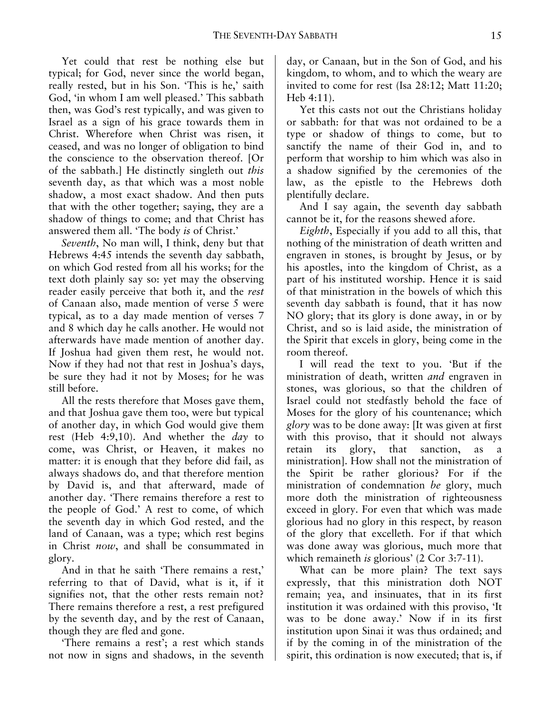Yet could that rest be nothing else but typical; for God, never since the world began, really rested, but in his Son. 'This is he,' saith God, 'in whom I am well pleased.' This sabbath then, was God's rest typically, and was given to Israel as a sign of his grace towards them in Christ. Wherefore when Christ was risen, it ceased, and was no longer of obligation to bind the conscience to the observation thereof. [Or of the sabbath.] He distinctly singleth out *this* seventh day, as that which was a most noble shadow, a most exact shadow. And then puts that with the other together; saying, they are a shadow of things to come; and that Christ has answered them all. 'The body *is* of Christ.'

 *Seventh*, No man will, I think, deny but that Hebrews 4:45 intends the seventh day sabbath, on which God rested from all his works; for the text doth plainly say so: yet may the observing reader easily perceive that both it, and the *rest* of Canaan also, made mention of verse 5 were typical, as to a day made mention of verses 7 and 8 which day he calls another. He would not afterwards have made mention of another day. If Joshua had given them rest, he would not. Now if they had not that rest in Joshua's days, be sure they had it not by Moses; for he was still before.

 All the rests therefore that Moses gave them, and that Joshua gave them too, were but typical of another day, in which God would give them rest (Heb 4:9,10). And whether the *day* to come, was Christ, or Heaven, it makes no matter: it is enough that they before did fail, as always shadows do, and that therefore mention by David is, and that afterward, made of another day. 'There remains therefore a rest to the people of God.' A rest to come, of which the seventh day in which God rested, and the land of Canaan, was a type; which rest begins in Christ *now*, and shall be consummated in glory.

 And in that he saith 'There remains a rest,' referring to that of David, what is it, if it signifies not, that the other rests remain not? There remains therefore a rest, a rest prefigured by the seventh day, and by the rest of Canaan, though they are fled and gone.

 'There remains a rest'; a rest which stands not now in signs and shadows, in the seventh day, or Canaan, but in the Son of God, and his kingdom, to whom, and to which the weary are invited to come for rest (Isa 28:12; Matt 11:20; Heb 4:11).

 Yet this casts not out the Christians holiday or sabbath: for that was not ordained to be a type or shadow of things to come, but to sanctify the name of their God in, and to perform that worship to him which was also in a shadow signified by the ceremonies of the law, as the epistle to the Hebrews doth plentifully declare.

 And I say again, the seventh day sabbath cannot be it, for the reasons shewed afore.

 *Eighth*, Especially if you add to all this, that nothing of the ministration of death written and engraven in stones, is brought by Jesus, or by his apostles, into the kingdom of Christ, as a part of his instituted worship. Hence it is said of that ministration in the bowels of which this seventh day sabbath is found, that it has now NO glory; that its glory is done away, in or by Christ, and so is laid aside, the ministration of the Spirit that excels in glory, being come in the room thereof.

 I will read the text to you. 'But if the ministration of death, written *and* engraven in stones, was glorious, so that the children of Israel could not stedfastly behold the face of Moses for the glory of his countenance; which *glory* was to be done away: [It was given at first with this proviso, that it should not always retain its glory, that sanction, as a ministration]. How shall not the ministration of the Spirit be rather glorious? For if the ministration of condemnation *be* glory, much more doth the ministration of righteousness exceed in glory. For even that which was made glorious had no glory in this respect, by reason of the glory that excelleth. For if that which was done away was glorious, much more that which remaineth *is* glorious' (2 Cor 3:7-11).

 What can be more plain? The text says expressly, that this ministration doth NOT remain; yea, and insinuates, that in its first institution it was ordained with this proviso, 'It was to be done away.' Now if in its first institution upon Sinai it was thus ordained; and if by the coming in of the ministration of the spirit, this ordination is now executed; that is, if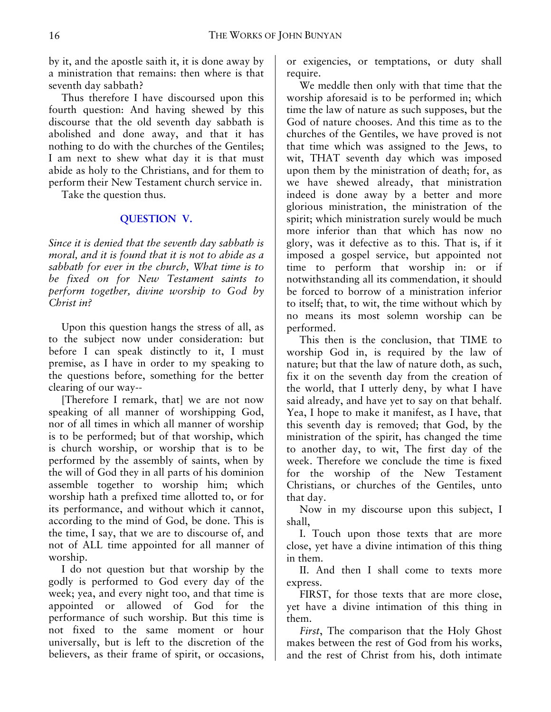by it, and the apostle saith it, it is done away by a ministration that remains: then where is that seventh day sabbath?

 Thus therefore I have discoursed upon this fourth question: And having shewed by this discourse that the old seventh day sabbath is abolished and done away, and that it has nothing to do with the churches of the Gentiles; I am next to shew what day it is that must abide as holy to the Christians, and for them to perform their New Testament church service in.

Take the question thus.

#### **QUESTION V.**

*Since it is denied that the seventh day sabbath is moral, and it is found that it is not to abide as a sabbath for ever in the church, What time is to be fixed on for New Testament saints to perform together, divine worship to God by Christ in?*

 Upon this question hangs the stress of all, as to the subject now under consideration: but before I can speak distinctly to it, I must premise, as I have in order to my speaking to the questions before, something for the better clearing of our way--

 [Therefore I remark, that] we are not now speaking of all manner of worshipping God, nor of all times in which all manner of worship is to be performed; but of that worship, which is church worship, or worship that is to be performed by the assembly of saints, when by the will of God they in all parts of his dominion assemble together to worship him; which worship hath a prefixed time allotted to, or for its performance, and without which it cannot, according to the mind of God, be done. This is the time, I say, that we are to discourse of, and not of ALL time appointed for all manner of worship.

 I do not question but that worship by the godly is performed to God every day of the week; yea, and every night too, and that time is appointed or allowed of God for the performance of such worship. But this time is not fixed to the same moment or hour universally, but is left to the discretion of the believers, as their frame of spirit, or occasions, or exigencies, or temptations, or duty shall require.

 We meddle then only with that time that the worship aforesaid is to be performed in; which time the law of nature as such supposes, but the God of nature chooses. And this time as to the churches of the Gentiles, we have proved is not that time which was assigned to the Jews, to wit, THAT seventh day which was imposed upon them by the ministration of death; for, as we have shewed already, that ministration indeed is done away by a better and more glorious ministration, the ministration of the spirit; which ministration surely would be much more inferior than that which has now no glory, was it defective as to this. That is, if it imposed a gospel service, but appointed not time to perform that worship in: or if notwithstanding all its commendation, it should be forced to borrow of a ministration inferior to itself; that, to wit, the time without which by no means its most solemn worship can be performed.

 This then is the conclusion, that TIME to worship God in, is required by the law of nature; but that the law of nature doth, as such, fix it on the seventh day from the creation of the world, that I utterly deny, by what I have said already, and have yet to say on that behalf. Yea, I hope to make it manifest, as I have, that this seventh day is removed; that God, by the ministration of the spirit, has changed the time to another day, to wit, The first day of the week. Therefore we conclude the time is fixed for the worship of the New Testament Christians, or churches of the Gentiles, unto that day.

 Now in my discourse upon this subject, I shall,

 I. Touch upon those texts that are more close, yet have a divine intimation of this thing in them.

 II. And then I shall come to texts more express.

 FIRST, for those texts that are more close, yet have a divine intimation of this thing in them.

 *First*, The comparison that the Holy Ghost makes between the rest of God from his works, and the rest of Christ from his, doth intimate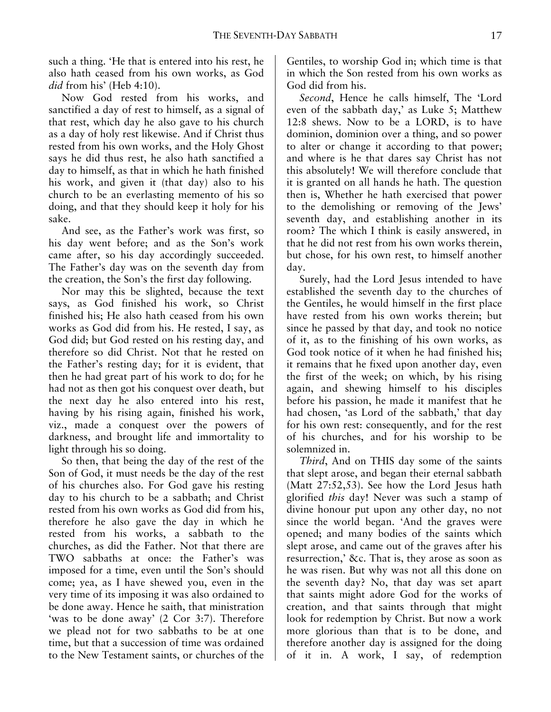such a thing. 'He that is entered into his rest, he also hath ceased from his own works, as God *did* from his' (Heb 4:10).

 Now God rested from his works, and sanctified a day of rest to himself, as a signal of that rest, which day he also gave to his church as a day of holy rest likewise. And if Christ thus rested from his own works, and the Holy Ghost says he did thus rest, he also hath sanctified a day to himself, as that in which he hath finished his work, and given it (that day) also to his church to be an everlasting memento of his so doing, and that they should keep it holy for his sake.

 And see, as the Father's work was first, so his day went before; and as the Son's work came after, so his day accordingly succeeded. The Father's day was on the seventh day from the creation, the Son's the first day following.

 Nor may this be slighted, because the text says, as God finished his work, so Christ finished his; He also hath ceased from his own works as God did from his. He rested, I say, as God did; but God rested on his resting day, and therefore so did Christ. Not that he rested on the Father's resting day; for it is evident, that then he had great part of his work to do; for he had not as then got his conquest over death, but the next day he also entered into his rest, having by his rising again, finished his work, viz., made a conquest over the powers of darkness, and brought life and immortality to light through his so doing.

 So then, that being the day of the rest of the Son of God, it must needs be the day of the rest of his churches also. For God gave his resting day to his church to be a sabbath; and Christ rested from his own works as God did from his, therefore he also gave the day in which he rested from his works, a sabbath to the churches, as did the Father. Not that there are TWO sabbaths at once: the Father's was imposed for a time, even until the Son's should come; yea, as I have shewed you, even in the very time of its imposing it was also ordained to be done away. Hence he saith, that ministration 'was to be done away' (2 Cor 3:7). Therefore we plead not for two sabbaths to be at one time, but that a succession of time was ordained to the New Testament saints, or churches of the Gentiles, to worship God in; which time is that in which the Son rested from his own works as God did from his.

 *Second*, Hence he calls himself, The 'Lord even of the sabbath day,' as Luke 5; Matthew 12:8 shews. Now to be a LORD, is to have dominion, dominion over a thing, and so power to alter or change it according to that power; and where is he that dares say Christ has not this absolutely! We will therefore conclude that it is granted on all hands he hath. The question then is, Whether he hath exercised that power to the demolishing or removing of the Jews' seventh day, and establishing another in its room? The which I think is easily answered, in that he did not rest from his own works therein, but chose, for his own rest, to himself another day.

 Surely, had the Lord Jesus intended to have established the seventh day to the churches of the Gentiles, he would himself in the first place have rested from his own works therein; but since he passed by that day, and took no notice of it, as to the finishing of his own works, as God took notice of it when he had finished his; it remains that he fixed upon another day, even the first of the week; on which, by his rising again, and shewing himself to his disciples before his passion, he made it manifest that he had chosen, 'as Lord of the sabbath,' that day for his own rest: consequently, and for the rest of his churches, and for his worship to be solemnized in.

 *Third*, And on THIS day some of the saints that slept arose, and began their eternal sabbath (Matt 27:52,53). See how the Lord Jesus hath glorified *this* day! Never was such a stamp of divine honour put upon any other day, no not since the world began. 'And the graves were opened; and many bodies of the saints which slept arose, and came out of the graves after his resurrection,' &c. That is, they arose as soon as he was risen. But why was not all this done on the seventh day? No, that day was set apart that saints might adore God for the works of creation, and that saints through that might look for redemption by Christ. But now a work more glorious than that is to be done, and therefore another day is assigned for the doing of it in. A work, I say, of redemption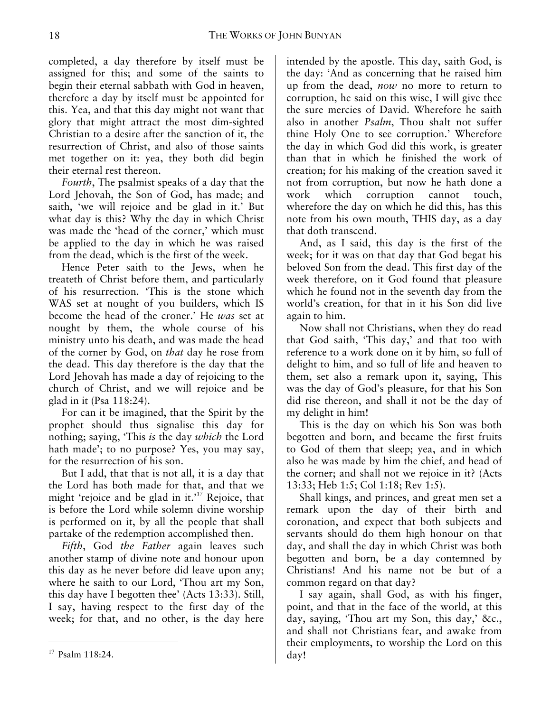completed, a day therefore by itself must be assigned for this; and some of the saints to begin their eternal sabbath with God in heaven, therefore a day by itself must be appointed for this. Yea, and that this day might not want that glory that might attract the most dim-sighted Christian to a desire after the sanction of it, the resurrection of Christ, and also of those saints met together on it: yea, they both did begin their eternal rest thereon.

 *Fourth*, The psalmist speaks of a day that the Lord Jehovah, the Son of God, has made; and saith, 'we will rejoice and be glad in it.' But what day is this? Why the day in which Christ was made the 'head of the corner,' which must be applied to the day in which he was raised from the dead, which is the first of the week.

 Hence Peter saith to the Jews, when he treateth of Christ before them, and particularly of his resurrection. 'This is the stone which WAS set at nought of you builders, which IS become the head of the croner.' He *was* set at nought by them, the whole course of his ministry unto his death, and was made the head of the corner by God, on *that* day he rose from the dead. This day therefore is the day that the Lord Jehovah has made a day of rejoicing to the church of Christ, and we will rejoice and be glad in it (Psa 118:24).

 For can it be imagined, that the Spirit by the prophet should thus signalise this day for nothing; saying, 'This *is* the day *which* the Lord hath made'; to no purpose? Yes, you may say, for the resurrection of his son.

 But I add, that that is not all, it is a day that the Lord has both made for that, and that we might 'rejoice and be glad in it.'<sup>17</sup> Rejoice, that is before the Lord while solemn divine worship is performed on it, by all the people that shall partake of the redemption accomplished then.

 *Fifth*, God *the Father* again leaves such another stamp of divine note and honour upon this day as he never before did leave upon any; where he saith to our Lord, 'Thou art my Son, this day have I begotten thee' (Acts 13:33). Still, I say, having respect to the first day of the week; for that, and no other, is the day here intended by the apostle. This day, saith God, is the day: 'And as concerning that he raised him up from the dead, *now* no more to return to corruption, he said on this wise, I will give thee the sure mercies of David. Wherefore he saith also in another *Psalm*, Thou shalt not suffer thine Holy One to see corruption.' Wherefore the day in which God did this work, is greater than that in which he finished the work of creation; for his making of the creation saved it not from corruption, but now he hath done a work which corruption cannot touch, wherefore the day on which he did this, has this note from his own mouth, THIS day, as a day that doth transcend.

 And, as I said, this day is the first of the week; for it was on that day that God begat his beloved Son from the dead. This first day of the week therefore, on it God found that pleasure which he found not in the seventh day from the world's creation, for that in it his Son did live again to him.

 Now shall not Christians, when they do read that God saith, 'This day,' and that too with reference to a work done on it by him, so full of delight to him, and so full of life and heaven to them, set also a remark upon it, saying, This was the day of God's pleasure, for that his Son did rise thereon, and shall it not be the day of my delight in him!

 This is the day on which his Son was both begotten and born, and became the first fruits to God of them that sleep; yea, and in which also he was made by him the chief, and head of the corner; and shall not we rejoice in it? (Acts 13:33; Heb 1:5; Col 1:18; Rev 1:5).

 Shall kings, and princes, and great men set a remark upon the day of their birth and coronation, and expect that both subjects and servants should do them high honour on that day, and shall the day in which Christ was both begotten and born, be a day contemned by Christians! And his name not be but of a common regard on that day?

 I say again, shall God, as with his finger, point, and that in the face of the world, at this day, saying, 'Thou art my Son, this day,' &c., and shall not Christians fear, and awake from their employments, to worship the Lord on this day!

<sup>&</sup>lt;sup>17</sup> Psalm 118:24.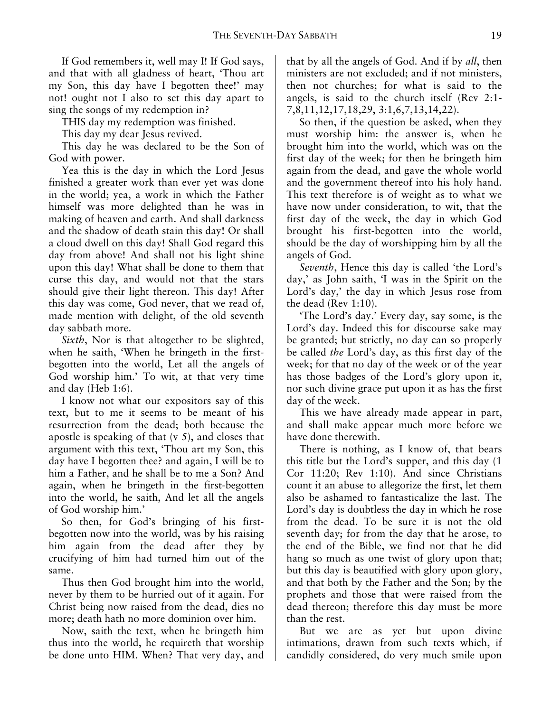If God remembers it, well may I! If God says, and that with all gladness of heart, 'Thou art my Son, this day have I begotten thee!' may not! ought not I also to set this day apart to sing the songs of my redemption in?

THIS day my redemption was finished.

This day my dear Jesus revived.

 This day he was declared to be the Son of God with power.

 Yea this is the day in which the Lord Jesus finished a greater work than ever yet was done in the world; yea, a work in which the Father himself was more delighted than he was in making of heaven and earth. And shall darkness and the shadow of death stain this day! Or shall a cloud dwell on this day! Shall God regard this day from above! And shall not his light shine upon this day! What shall be done to them that curse this day, and would not that the stars should give their light thereon. This day! After this day was come, God never, that we read of, made mention with delight, of the old seventh day sabbath more.

*Sixth*, Nor is that altogether to be slighted, when he saith, 'When he bringeth in the firstbegotten into the world, Let all the angels of God worship him.' To wit, at that very time and day (Heb 1:6).

 I know not what our expositors say of this text, but to me it seems to be meant of his resurrection from the dead; both because the apostle is speaking of that  $(v 5)$ , and closes that argument with this text, 'Thou art my Son, this day have I begotten thee? and again, I will be to him a Father, and he shall be to me a Son? And again, when he bringeth in the first-begotten into the world, he saith, And let all the angels of God worship him.'

 So then, for God's bringing of his firstbegotten now into the world, was by his raising him again from the dead after they by crucifying of him had turned him out of the same.

 Thus then God brought him into the world, never by them to be hurried out of it again. For Christ being now raised from the dead, dies no more; death hath no more dominion over him.

 Now, saith the text, when he bringeth him thus into the world, he requireth that worship be done unto HIM. When? That very day, and that by all the angels of God. And if by *all*, then ministers are not excluded; and if not ministers, then not churches; for what is said to the angels, is said to the church itself (Rev 2:1- 7,8,11,12,17,18,29, 3:1,6,7,13,14,22).

 So then, if the question be asked, when they must worship him: the answer is, when he brought him into the world, which was on the first day of the week; for then he bringeth him again from the dead, and gave the whole world and the government thereof into his holy hand. This text therefore is of weight as to what we have now under consideration, to wit, that the first day of the week, the day in which God brought his first-begotten into the world, should be the day of worshipping him by all the angels of God.

 *Seventh*, Hence this day is called 'the Lord's day,' as John saith, 'I was in the Spirit on the Lord's day,' the day in which Jesus rose from the dead (Rev 1:10).

 'The Lord's day.' Every day, say some, is the Lord's day. Indeed this for discourse sake may be granted; but strictly, no day can so properly be called *the* Lord's day, as this first day of the week; for that no day of the week or of the year has those badges of the Lord's glory upon it, nor such divine grace put upon it as has the first day of the week.

 This we have already made appear in part, and shall make appear much more before we have done therewith.

 There is nothing, as I know of, that bears this title but the Lord's supper, and this day (1 Cor 11:20; Rev 1:10). And since Christians count it an abuse to allegorize the first, let them also be ashamed to fantasticalize the last. The Lord's day is doubtless the day in which he rose from the dead. To be sure it is not the old seventh day; for from the day that he arose, to the end of the Bible, we find not that he did hang so much as one twist of glory upon that; but this day is beautified with glory upon glory, and that both by the Father and the Son; by the prophets and those that were raised from the dead thereon; therefore this day must be more than the rest.

 But we are as yet but upon divine intimations, drawn from such texts which, if candidly considered, do very much smile upon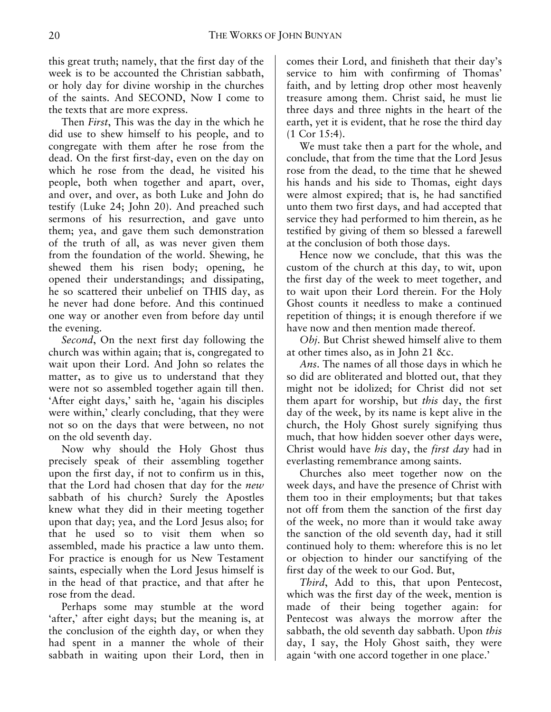this great truth; namely, that the first day of the week is to be accounted the Christian sabbath, or holy day for divine worship in the churches of the saints. And SECOND, Now I come to the texts that are more express.

 Then *First*, This was the day in the which he did use to shew himself to his people, and to congregate with them after he rose from the dead. On the first first-day, even on the day on which he rose from the dead, he visited his people, both when together and apart, over, and over, and over, as both Luke and John do testify (Luke 24; John 20). And preached such sermons of his resurrection, and gave unto them; yea, and gave them such demonstration of the truth of all, as was never given them from the foundation of the world. Shewing, he shewed them his risen body; opening, he opened their understandings; and dissipating, he so scattered their unbelief on THIS day, as he never had done before. And this continued one way or another even from before day until the evening.

 *Second*, On the next first day following the church was within again; that is, congregated to wait upon their Lord. And John so relates the matter, as to give us to understand that they were not so assembled together again till then. 'After eight days,' saith he, 'again his disciples were within,' clearly concluding, that they were not so on the days that were between, no not on the old seventh day.

 Now why should the Holy Ghost thus precisely speak of their assembling together upon the first day, if not to confirm us in this, that the Lord had chosen that day for the *new* sabbath of his church? Surely the Apostles knew what they did in their meeting together upon that day; yea, and the Lord Jesus also; for that he used so to visit them when so assembled, made his practice a law unto them. For practice is enough for us New Testament saints, especially when the Lord Jesus himself is in the head of that practice, and that after he rose from the dead.

 Perhaps some may stumble at the word 'after,' after eight days; but the meaning is, at the conclusion of the eighth day, or when they had spent in a manner the whole of their sabbath in waiting upon their Lord, then in comes their Lord, and finisheth that their day's service to him with confirming of Thomas' faith, and by letting drop other most heavenly treasure among them. Christ said, he must lie three days and three nights in the heart of the earth, yet it is evident, that he rose the third day (1 Cor 15:4).

 We must take then a part for the whole, and conclude, that from the time that the Lord Jesus rose from the dead, to the time that he shewed his hands and his side to Thomas, eight days were almost expired; that is, he had sanctified unto them two first days, and had accepted that service they had performed to him therein, as he testified by giving of them so blessed a farewell at the conclusion of both those days.

 Hence now we conclude, that this was the custom of the church at this day, to wit, upon the first day of the week to meet together, and to wait upon their Lord therein. For the Holy Ghost counts it needless to make a continued repetition of things; it is enough therefore if we have now and then mention made thereof.

 *Obj*. But Christ shewed himself alive to them at other times also, as in John 21 &c.

 *Ans*. The names of all those days in which he so did are obliterated and blotted out, that they might not be idolized; for Christ did not set them apart for worship, but *this* day, the first day of the week, by its name is kept alive in the church, the Holy Ghost surely signifying thus much, that how hidden soever other days were, Christ would have *his* day, the *first day* had in everlasting remembrance among saints.

 Churches also meet together now on the week days, and have the presence of Christ with them too in their employments; but that takes not off from them the sanction of the first day of the week, no more than it would take away the sanction of the old seventh day, had it still continued holy to them: wherefore this is no let or objection to hinder our sanctifying of the first day of the week to our God. But,

 *Third*, Add to this, that upon Pentecost, which was the first day of the week, mention is made of their being together again: for Pentecost was always the morrow after the sabbath, the old seventh day sabbath. Upon *this* day, I say, the Holy Ghost saith, they were again 'with one accord together in one place.'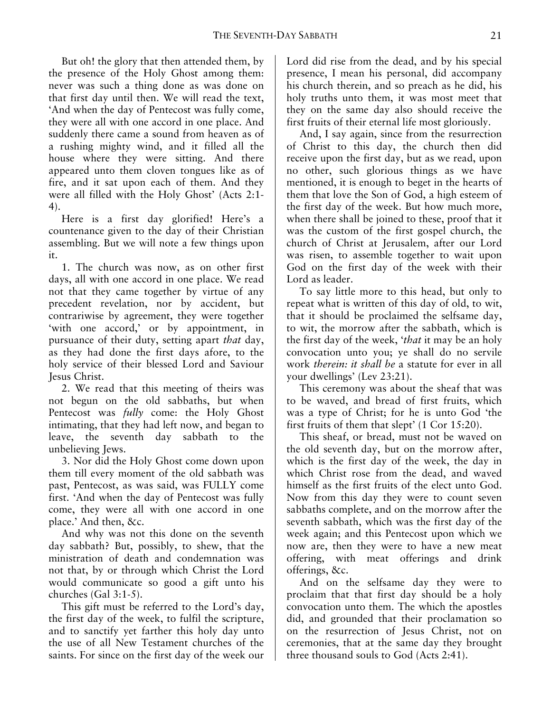But oh! the glory that then attended them, by the presence of the Holy Ghost among them: never was such a thing done as was done on that first day until then. We will read the text, 'And when the day of Pentecost was fully come, they were all with one accord in one place. And suddenly there came a sound from heaven as of a rushing mighty wind, and it filled all the house where they were sitting. And there appeared unto them cloven tongues like as of fire, and it sat upon each of them. And they were all filled with the Holy Ghost' (Acts 2:1- 4).

 Here is a first day glorified! Here's a countenance given to the day of their Christian assembling. But we will note a few things upon it.

 1. The church was now, as on other first days, all with one accord in one place. We read not that they came together by virtue of any precedent revelation, nor by accident, but contrariwise by agreement, they were together 'with one accord,' or by appointment, in pursuance of their duty, setting apart *that* day, as they had done the first days afore, to the holy service of their blessed Lord and Saviour Jesus Christ.

 2. We read that this meeting of theirs was not begun on the old sabbaths, but when Pentecost was *fully* come: the Holy Ghost intimating, that they had left now, and began to leave, the seventh day sabbath to the unbelieving Jews.

 3. Nor did the Holy Ghost come down upon them till every moment of the old sabbath was past, Pentecost, as was said, was FULLY come first. 'And when the day of Pentecost was fully come, they were all with one accord in one place.' And then, &c.

 And why was not this done on the seventh day sabbath? But, possibly, to shew, that the ministration of death and condemnation was not that, by or through which Christ the Lord would communicate so good a gift unto his churches (Gal 3:1-5).

 This gift must be referred to the Lord's day, the first day of the week, to fulfil the scripture, and to sanctify yet farther this holy day unto the use of all New Testament churches of the saints. For since on the first day of the week our Lord did rise from the dead, and by his special presence, I mean his personal, did accompany his church therein, and so preach as he did, his holy truths unto them, it was most meet that they on the same day also should receive the first fruits of their eternal life most gloriously.

 And, I say again, since from the resurrection of Christ to this day, the church then did receive upon the first day, but as we read, upon no other, such glorious things as we have mentioned, it is enough to beget in the hearts of them that love the Son of God, a high esteem of the first day of the week. But how much more, when there shall be joined to these, proof that it was the custom of the first gospel church, the church of Christ at Jerusalem, after our Lord was risen, to assemble together to wait upon God on the first day of the week with their Lord as leader.

 To say little more to this head, but only to repeat what is written of this day of old, to wit, that it should be proclaimed the selfsame day, to wit, the morrow after the sabbath, which is the first day of the week, '*that* it may be an holy convocation unto you; ye shall do no servile work *therein: it shall be* a statute for ever in all your dwellings' (Lev 23:21).

 This ceremony was about the sheaf that was to be waved, and bread of first fruits, which was a type of Christ; for he is unto God 'the first fruits of them that slept' (1 Cor 15:20).

 This sheaf, or bread, must not be waved on the old seventh day, but on the morrow after, which is the first day of the week, the day in which Christ rose from the dead, and waved himself as the first fruits of the elect unto God. Now from this day they were to count seven sabbaths complete, and on the morrow after the seventh sabbath, which was the first day of the week again; and this Pentecost upon which we now are, then they were to have a new meat offering, with meat offerings and drink offerings, &c.

 And on the selfsame day they were to proclaim that that first day should be a holy convocation unto them. The which the apostles did, and grounded that their proclamation so on the resurrection of Jesus Christ, not on ceremonies, that at the same day they brought three thousand souls to God (Acts 2:41).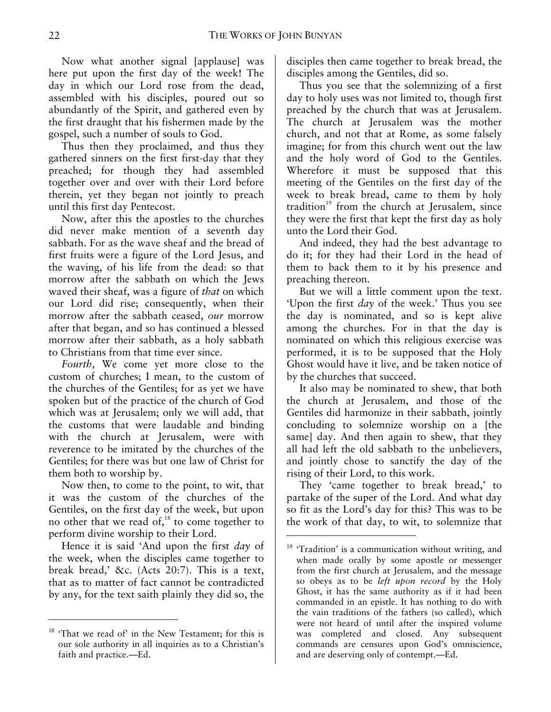Now what another signal [applause] was here put upon the first day of the week! The day in which our Lord rose from the dead, assembled with his disciples, poured out so abundantly of the Spirit, and gathered even by the first draught that his fishermen made by the gospel, such a number of souls to God.

 Thus then they proclaimed, and thus they gathered sinners on the first first-day that they preached; for though they had assembled together over and over with their Lord before therein, yet they began not jointly to preach until this first day Pentecost.

 Now, after this the apostles to the churches did never make mention of a seventh day sabbath. For as the wave sheaf and the bread of first fruits were a figure of the Lord Jesus, and the waving, of his life from the dead: so that morrow after the sabbath on which the Jews waved their sheaf, was a figure of *that* on which our Lord did rise; consequently, when their morrow after the sabbath ceased, *our* morrow after that began, and so has continued a blessed morrow after their sabbath, as a holy sabbath to Christians from that time ever since.

 *Fourth*, We come yet more close to the custom of churches; I mean, to the custom of the churches of the Gentiles; for as yet we have spoken but of the practice of the church of God which was at Jerusalem; only we will add, that the customs that were laudable and binding with the church at Jerusalem, were with reverence to be imitated by the churches of the Gentiles; for there was but one law of Christ for them both to worship by.

 Now then, to come to the point, to wit, that it was the custom of the churches of the Gentiles, on the first day of the week, but upon no other that we read of, $^{18}$  to come together to perform divine worship to their Lord.

 Hence it is said 'And upon the first *day* of the week, when the disciples came together to break bread,' &c. (Acts 20:7). This is a text, that as to matter of fact cannot be contradicted by any, for the text saith plainly they did so, the disciples then came together to break bread, the disciples among the Gentiles, did so.

 Thus you see that the solemnizing of a first day to holy uses was not limited to, though first preached by the church that was at Jerusalem. The church at Jerusalem was the mother church, and not that at Rome, as some falsely imagine; for from this church went out the law and the holy word of God to the Gentiles. Wherefore it must be supposed that this meeting of the Gentiles on the first day of the week to break bread, came to them by holy tradition<sup>19</sup> from the church at Jerusalem, since they were the first that kept the first day as holy unto the Lord their God.

 And indeed, they had the best advantage to do it; for they had their Lord in the head of them to back them to it by his presence and preaching thereon.

 But we will a little comment upon the text. 'Upon the first *day* of the week.' Thus you see the day is nominated, and so is kept alive among the churches. For in that the day is nominated on which this religious exercise was performed, it is to be supposed that the Holy Ghost would have it live, and be taken notice of by the churches that succeed.

 It also may be nominated to shew, that both the church at Jerusalem, and those of the Gentiles did harmonize in their sabbath, jointly concluding to solemnize worship on a [the same] day. And then again to shew, that they all had left the old sabbath to the unbelievers, and jointly chose to sanctify the day of the rising of their Lord, to this work.

 They 'came together to break bread,' to partake of the super of the Lord. And what day so fit as the Lord's day for this? This was to be the work of that day, to wit, to solemnize that

<sup>&</sup>lt;sup>18</sup> 'That we read of' in the New Testament; for this is our sole authority in all inquiries as to a Christian's faith and practice.—Ed.

<sup>&</sup>lt;sup>19</sup> 'Tradition' is a communication without writing, and when made orally by some apostle or messenger from the first church at Jerusalem, and the message so obeys as to be *left upon record* by the Holy Ghost, it has the same authority as if it had been commanded in an epistle. It has nothing to do with the vain traditions of the fathers (so called), which were not heard of until after the inspired volume was completed and closed. Any subsequent commands are censures upon God's omniscience, and are deserving only of contempt.—Ed.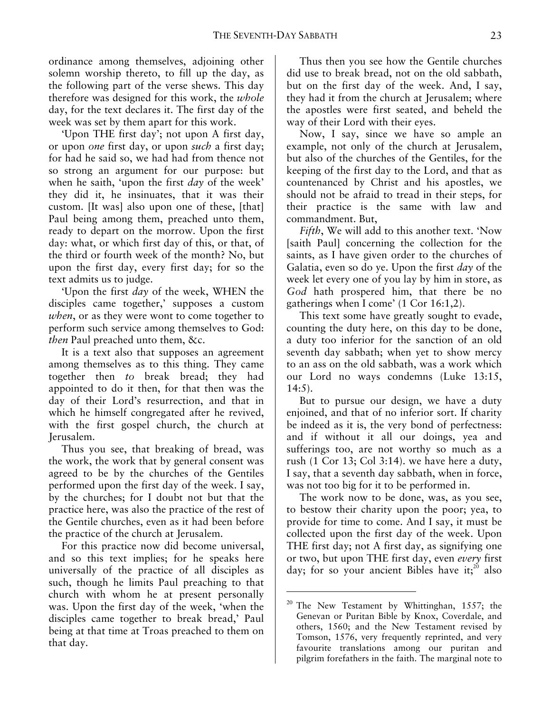ordinance among themselves, adjoining other solemn worship thereto, to fill up the day, as the following part of the verse shews. This day therefore was designed for this work, the *whole* day, for the text declares it. The first day of the week was set by them apart for this work.

 'Upon THE first day'; not upon A first day, or upon *one* first day, or upon *such* a first day; for had he said so, we had had from thence not so strong an argument for our purpose: but when he saith, 'upon the first *day* of the week' they did it, he insinuates, that it was their custom. [It was] also upon one of these, [that] Paul being among them, preached unto them, ready to depart on the morrow. Upon the first day: what, or which first day of this, or that, of the third or fourth week of the month? No, but upon the first day, every first day; for so the text admits us to judge.

 'Upon the first *day* of the week, WHEN the disciples came together,' supposes a custom *when*, or as they were wont to come together to perform such service among themselves to God: *then* Paul preached unto them, &c.

 It is a text also that supposes an agreement among themselves as to this thing. They came together then *to* break bread; they had appointed to do it then, for that then was the day of their Lord's resurrection, and that in which he himself congregated after he revived, with the first gospel church, the church at Jerusalem.

 Thus you see, that breaking of bread, was the work, the work that by general consent was agreed to be by the churches of the Gentiles performed upon the first day of the week. I say, by the churches; for I doubt not but that the practice here, was also the practice of the rest of the Gentile churches, even as it had been before the practice of the church at Jerusalem.

 For this practice now did become universal, and so this text implies; for he speaks here universally of the practice of all disciples as such, though he limits Paul preaching to that church with whom he at present personally was. Upon the first day of the week, 'when the disciples came together to break bread,' Paul being at that time at Troas preached to them on that day.

 Thus then you see how the Gentile churches did use to break bread, not on the old sabbath, but on the first day of the week. And, I say, they had it from the church at Jerusalem; where the apostles were first seated, and beheld the way of their Lord with their eyes.

 Now, I say, since we have so ample an example, not only of the church at Jerusalem, but also of the churches of the Gentiles, for the keeping of the first day to the Lord, and that as countenanced by Christ and his apostles, we should not be afraid to tread in their steps, for their practice is the same with law and commandment. But,

 *Fifth*, We will add to this another text. 'Now [saith Paul] concerning the collection for the saints, as I have given order to the churches of Galatia, even so do ye. Upon the first *day* of the week let every one of you lay by him in store, as *God* hath prospered him, that there be no gatherings when I come' (1 Cor 16:1,2).

 This text some have greatly sought to evade, counting the duty here, on this day to be done, a duty too inferior for the sanction of an old seventh day sabbath; when yet to show mercy to an ass on the old sabbath, was a work which our Lord no ways condemns (Luke 13:15, 14:5).

 But to pursue our design, we have a duty enjoined, and that of no inferior sort. If charity be indeed as it is, the very bond of perfectness: and if without it all our doings, yea and sufferings too, are not worthy so much as a rush (1 Cor 13; Col 3:14). we have here a duty, I say, that a seventh day sabbath, when in force, was not too big for it to be performed in.

 The work now to be done, was, as you see, to bestow their charity upon the poor; yea, to provide for time to come. And I say, it must be collected upon the first day of the week. Upon THE first day; not A first day, as signifying one or two, but upon THE first day, even *every* first day; for so your ancient Bibles have it;<sup>20</sup> also

<sup>&</sup>lt;sup>20</sup> The New Testament by Whittinghan, 1557; the Genevan or Puritan Bible by Knox, Coverdale, and others, 1560; and the New Testament revised by Tomson, 1576, very frequently reprinted, and very favourite translations among our puritan and pilgrim forefathers in the faith. The marginal note to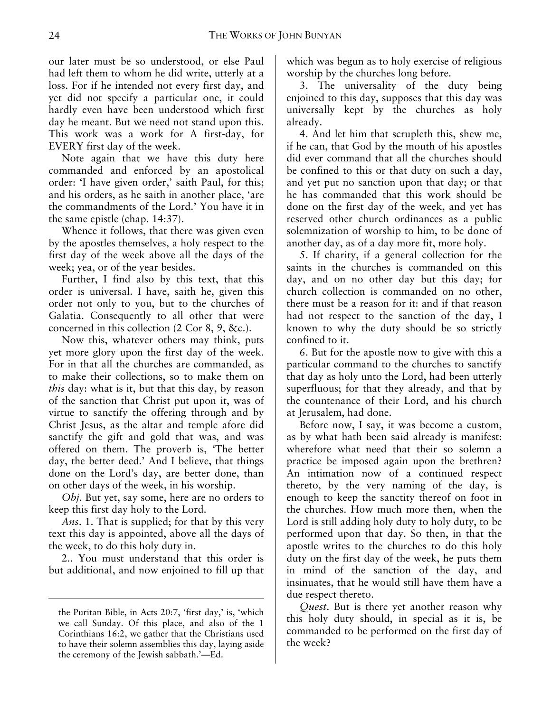our later must be so understood, or else Paul had left them to whom he did write, utterly at a loss. For if he intended not every first day, and yet did not specify a particular one, it could hardly even have been understood which first day he meant. But we need not stand upon this. This work was a work for A first-day, for EVERY first day of the week.

 Note again that we have this duty here commanded and enforced by an apostolical order: 'I have given order,' saith Paul, for this; and his orders, as he saith in another place, 'are the commandments of the Lord.' You have it in the same epistle (chap. 14:37).

 Whence it follows, that there was given even by the apostles themselves, a holy respect to the first day of the week above all the days of the week; yea, or of the year besides.

 Further, I find also by this text, that this order is universal. I have, saith he, given this order not only to you, but to the churches of Galatia. Consequently to all other that were concerned in this collection (2 Cor 8, 9, &c.).

 Now this, whatever others may think, puts yet more glory upon the first day of the week. For in that all the churches are commanded, as to make their collections, so to make them on *this* day: what is it, but that this day, by reason of the sanction that Christ put upon it, was of virtue to sanctify the offering through and by Christ Jesus, as the altar and temple afore did sanctify the gift and gold that was, and was offered on them. The proverb is, 'The better day, the better deed.' And I believe, that things done on the Lord's day, are better done, than on other days of the week, in his worship.

 *Obj*. But yet, say some, here are no orders to keep this first day holy to the Lord.

 *Ans*. 1. That is supplied; for that by this very text this day is appointed, above all the days of the week, to do this holy duty in.

 2.. You must understand that this order is but additional, and now enjoined to fill up that

 $\overline{a}$ 

which was begun as to holy exercise of religious worship by the churches long before.

 3. The universality of the duty being enjoined to this day, supposes that this day was universally kept by the churches as holy already.

 4. And let him that scrupleth this, shew me, if he can, that God by the mouth of his apostles did ever command that all the churches should be confined to this or that duty on such a day, and yet put no sanction upon that day; or that he has commanded that this work should be done on the first day of the week, and yet has reserved other church ordinances as a public solemnization of worship to him, to be done of another day, as of a day more fit, more holy.

 5. If charity, if a general collection for the saints in the churches is commanded on this day, and on no other day but this day; for church collection is commanded on no other, there must be a reason for it: and if that reason had not respect to the sanction of the day, I known to why the duty should be so strictly confined to it.

 6. But for the apostle now to give with this a particular command to the churches to sanctify that day as holy unto the Lord, had been utterly superfluous; for that they already, and that by the countenance of their Lord, and his church at Jerusalem, had done.

 Before now, I say, it was become a custom, as by what hath been said already is manifest: wherefore what need that their so solemn a practice be imposed again upon the brethren? An intimation now of a continued respect thereto, by the very naming of the day, is enough to keep the sanctity thereof on foot in the churches. How much more then, when the Lord is still adding holy duty to holy duty, to be performed upon that day. So then, in that the apostle writes to the churches to do this holy duty on the first day of the week, he puts them in mind of the sanction of the day, and insinuates, that he would still have them have a due respect thereto.

 *Quest*. But is there yet another reason why this holy duty should, in special as it is, be commanded to be performed on the first day of the week?

the Puritan Bible, in Acts 20:7, 'first day,' is, 'which we call Sunday. Of this place, and also of the 1 Corinthians 16:2, we gather that the Christians used to have their solemn assemblies this day, laying aside the ceremony of the Jewish sabbath.'—Ed.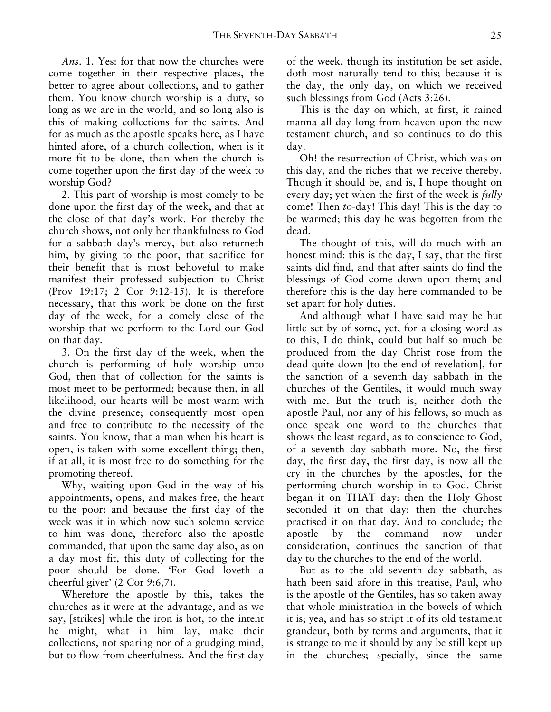*Ans*. 1. Yes: for that now the churches were come together in their respective places, the better to agree about collections, and to gather them. You know church worship is a duty, so long as we are in the world, and so long also is this of making collections for the saints. And for as much as the apostle speaks here, as I have hinted afore, of a church collection, when is it more fit to be done, than when the church is come together upon the first day of the week to worship God?

 2. This part of worship is most comely to be done upon the first day of the week, and that at the close of that day's work. For thereby the church shows, not only her thankfulness to God for a sabbath day's mercy, but also returneth him, by giving to the poor, that sacrifice for their benefit that is most behoveful to make manifest their professed subjection to Christ (Prov 19:17; 2 Cor 9:12-15). It is therefore necessary, that this work be done on the first day of the week, for a comely close of the worship that we perform to the Lord our God on that day.

 3. On the first day of the week, when the church is performing of holy worship unto God, then that of collection for the saints is most meet to be performed; because then, in all likelihood, our hearts will be most warm with the divine presence; consequently most open and free to contribute to the necessity of the saints. You know, that a man when his heart is open, is taken with some excellent thing; then, if at all, it is most free to do something for the promoting thereof.

 Why, waiting upon God in the way of his appointments, opens, and makes free, the heart to the poor: and because the first day of the week was it in which now such solemn service to him was done, therefore also the apostle commanded, that upon the same day also, as on a day most fit, this duty of collecting for the poor should be done. 'For God loveth a cheerful giver' (2 Cor 9:6,7).

 Wherefore the apostle by this, takes the churches as it were at the advantage, and as we say, [strikes] while the iron is hot, to the intent he might, what in him lay, make their collections, not sparing nor of a grudging mind, but to flow from cheerfulness. And the first day of the week, though its institution be set aside, doth most naturally tend to this; because it is the day, the only day, on which we received such blessings from God (Acts 3:26).

 This is the day on which, at first, it rained manna all day long from heaven upon the new testament church, and so continues to do this day.

 Oh! the resurrection of Christ, which was on this day, and the riches that we receive thereby. Though it should be, and is, I hope thought on every day; yet when the first of the week is *fully* come! Then *to*-day! This day! This is the day to be warmed; this day he was begotten from the dead.

 The thought of this, will do much with an honest mind: this is the day, I say, that the first saints did find, and that after saints do find the blessings of God come down upon them; and therefore this is the day here commanded to be set apart for holy duties.

 And although what I have said may be but little set by of some, yet, for a closing word as to this, I do think, could but half so much be produced from the day Christ rose from the dead quite down [to the end of revelation], for the sanction of a seventh day sabbath in the churches of the Gentiles, it would much sway with me. But the truth is, neither doth the apostle Paul, nor any of his fellows, so much as once speak one word to the churches that shows the least regard, as to conscience to God, of a seventh day sabbath more. No, the first day, the first day, the first day, is now all the cry in the churches by the apostles, for the performing church worship in to God. Christ began it on THAT day: then the Holy Ghost seconded it on that day: then the churches practised it on that day. And to conclude; the apostle by the command now under consideration, continues the sanction of that day to the churches to the end of the world.

 But as to the old seventh day sabbath, as hath been said afore in this treatise, Paul, who is the apostle of the Gentiles, has so taken away that whole ministration in the bowels of which it is; yea, and has so stript it of its old testament grandeur, both by terms and arguments, that it is strange to me it should by any be still kept up in the churches; specially, since the same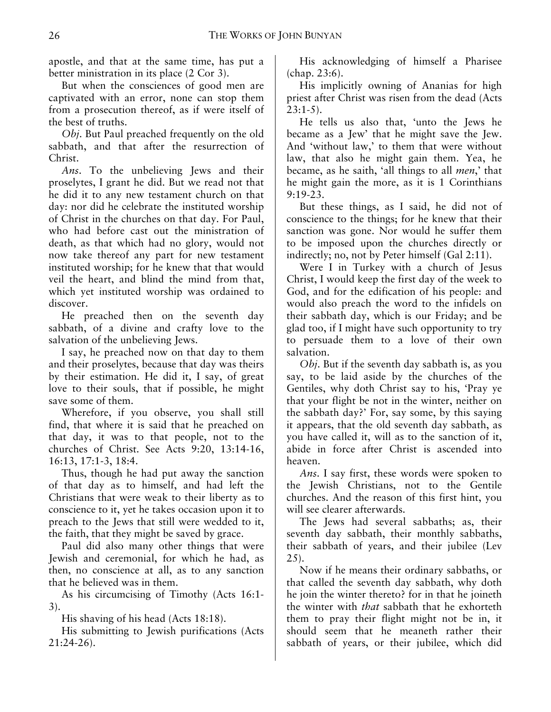apostle, and that at the same time, has put a better ministration in its place (2 Cor 3).

 But when the consciences of good men are captivated with an error, none can stop them from a prosecution thereof, as if were itself of the best of truths.

*Obj*. But Paul preached frequently on the old sabbath, and that after the resurrection of Christ.

 *Ans*. To the unbelieving Jews and their proselytes, I grant he did. But we read not that he did it to any new testament church on that day: nor did he celebrate the instituted worship of Christ in the churches on that day. For Paul, who had before cast out the ministration of death, as that which had no glory, would not now take thereof any part for new testament instituted worship; for he knew that that would veil the heart, and blind the mind from that, which yet instituted worship was ordained to discover.

 He preached then on the seventh day sabbath, of a divine and crafty love to the salvation of the unbelieving Jews.

 I say, he preached now on that day to them and their proselytes, because that day was theirs by their estimation. He did it, I say, of great love to their souls, that if possible, he might save some of them.

 Wherefore, if you observe, you shall still find, that where it is said that he preached on that day, it was to that people, not to the churches of Christ. See Acts 9:20, 13:14-16, 16:13, 17:1-3, 18:4.

 Thus, though he had put away the sanction of that day as to himself, and had left the Christians that were weak to their liberty as to conscience to it, yet he takes occasion upon it to preach to the Jews that still were wedded to it, the faith, that they might be saved by grace.

 Paul did also many other things that were Jewish and ceremonial, for which he had, as then, no conscience at all, as to any sanction that he believed was in them.

 As his circumcising of Timothy (Acts 16:1- 3).

His shaving of his head (Acts 18:18).

 His submitting to Jewish purifications (Acts 21:24-26).

 His acknowledging of himself a Pharisee (chap. 23:6).

 His implicitly owning of Ananias for high priest after Christ was risen from the dead (Acts  $23:1-5$ ).

 He tells us also that, 'unto the Jews he became as a Jew' that he might save the Jew. And 'without law,' to them that were without law, that also he might gain them. Yea, he became, as he saith, 'all things to all *men*,' that he might gain the more, as it is 1 Corinthians 9:19-23.

 But these things, as I said, he did not of conscience to the things; for he knew that their sanction was gone. Nor would he suffer them to be imposed upon the churches directly or indirectly; no, not by Peter himself (Gal 2:11).

 Were I in Turkey with a church of Jesus Christ, I would keep the first day of the week to God, and for the edification of his people: and would also preach the word to the infidels on their sabbath day, which is our Friday; and be glad too, if I might have such opportunity to try to persuade them to a love of their own salvation.

 *Obj*. But if the seventh day sabbath is, as you say, to be laid aside by the churches of the Gentiles, why doth Christ say to his, 'Pray ye that your flight be not in the winter, neither on the sabbath day?' For, say some, by this saying it appears, that the old seventh day sabbath, as you have called it, will as to the sanction of it, abide in force after Christ is ascended into heaven.

 *Ans*. I say first, these words were spoken to the Jewish Christians, not to the Gentile churches. And the reason of this first hint, you will see clearer afterwards.

 The Jews had several sabbaths; as, their seventh day sabbath, their monthly sabbaths, their sabbath of years, and their jubilee (Lev 25).

 Now if he means their ordinary sabbaths, or that called the seventh day sabbath, why doth he join the winter thereto? for in that he joineth the winter with *that* sabbath that he exhorteth them to pray their flight might not be in, it should seem that he meaneth rather their sabbath of years, or their jubilee, which did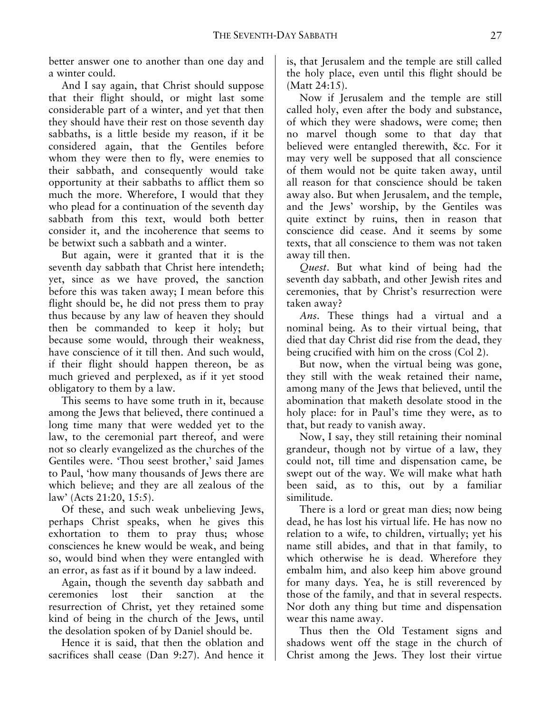better answer one to another than one day and a winter could.

 And I say again, that Christ should suppose that their flight should, or might last some considerable part of a winter, and yet that then they should have their rest on those seventh day sabbaths, is a little beside my reason, if it be considered again, that the Gentiles before whom they were then to fly, were enemies to their sabbath, and consequently would take opportunity at their sabbaths to afflict them so much the more. Wherefore, I would that they who plead for a continuation of the seventh day sabbath from this text, would both better consider it, and the incoherence that seems to be betwixt such a sabbath and a winter.

 But again, were it granted that it is the seventh day sabbath that Christ here intendeth; yet, since as we have proved, the sanction before this was taken away; I mean before this flight should be, he did not press them to pray thus because by any law of heaven they should then be commanded to keep it holy; but because some would, through their weakness, have conscience of it till then. And such would, if their flight should happen thereon, be as much grieved and perplexed, as if it yet stood obligatory to them by a law.

 This seems to have some truth in it, because among the Jews that believed, there continued a long time many that were wedded yet to the law, to the ceremonial part thereof, and were not so clearly evangelized as the churches of the Gentiles were. 'Thou seest brother,' said James to Paul, 'how many thousands of Jews there are which believe; and they are all zealous of the law' (Acts 21:20, 15:5).

 Of these, and such weak unbelieving Jews, perhaps Christ speaks, when he gives this exhortation to them to pray thus; whose consciences he knew would be weak, and being so, would bind when they were entangled with an error, as fast as if it bound by a law indeed.

 Again, though the seventh day sabbath and ceremonies lost their sanction at the resurrection of Christ, yet they retained some kind of being in the church of the Jews, until the desolation spoken of by Daniel should be.

 Hence it is said, that then the oblation and sacrifices shall cease (Dan 9:27). And hence it is, that Jerusalem and the temple are still called the holy place, even until this flight should be (Matt 24:15).

 Now if Jerusalem and the temple are still called holy, even after the body and substance, of which they were shadows, were come; then no marvel though some to that day that believed were entangled therewith, &c. For it may very well be supposed that all conscience of them would not be quite taken away, until all reason for that conscience should be taken away also. But when Jerusalem, and the temple, and the Jews' worship, by the Gentiles was quite extinct by ruins, then in reason that conscience did cease. And it seems by some texts, that all conscience to them was not taken away till then.

 *Quest*. But what kind of being had the seventh day sabbath, and other Jewish rites and ceremonies, that by Christ's resurrection were taken away?

 *Ans*. These things had a virtual and a nominal being. As to their virtual being, that died that day Christ did rise from the dead, they being crucified with him on the cross (Col 2).

 But now, when the virtual being was gone, they still with the weak retained their name, among many of the Jews that believed, until the abomination that maketh desolate stood in the holy place: for in Paul's time they were, as to that, but ready to vanish away.

 Now, I say, they still retaining their nominal grandeur, though not by virtue of a law, they could not, till time and dispensation came, be swept out of the way. We will make what hath been said, as to this, out by a familiar similitude.

 There is a lord or great man dies; now being dead, he has lost his virtual life. He has now no relation to a wife, to children, virtually; yet his name still abides, and that in that family, to which otherwise he is dead. Wherefore they embalm him, and also keep him above ground for many days. Yea, he is still reverenced by those of the family, and that in several respects. Nor doth any thing but time and dispensation wear this name away.

 Thus then the Old Testament signs and shadows went off the stage in the church of Christ among the Jews. They lost their virtue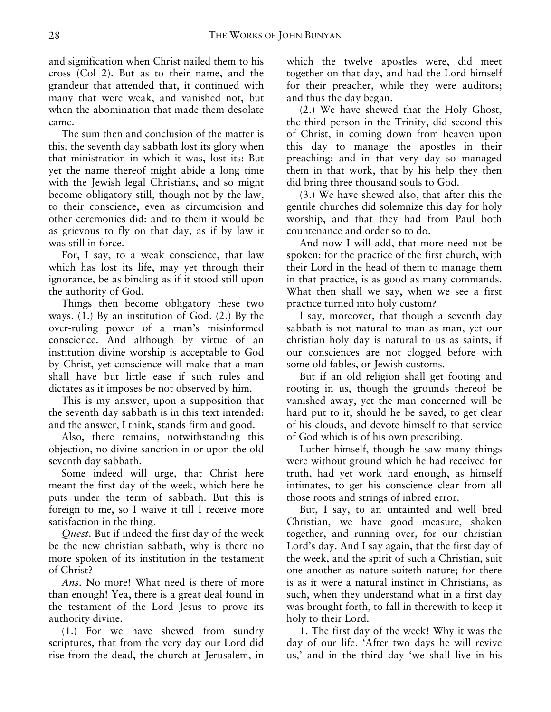and signification when Christ nailed them to his cross (Col 2). But as to their name, and the grandeur that attended that, it continued with many that were weak, and vanished not, but when the abomination that made them desolate came.

 The sum then and conclusion of the matter is this; the seventh day sabbath lost its glory when that ministration in which it was, lost its: But yet the name thereof might abide a long time with the Jewish legal Christians, and so might become obligatory still, though not by the law, to their conscience, even as circumcision and other ceremonies did: and to them it would be as grievous to fly on that day, as if by law it was still in force.

 For, I say, to a weak conscience, that law which has lost its life, may yet through their ignorance, be as binding as if it stood still upon the authority of God.

 Things then become obligatory these two ways. (1.) By an institution of God. (2.) By the over-ruling power of a man's misinformed conscience. And although by virtue of an institution divine worship is acceptable to God by Christ, yet conscience will make that a man shall have but little ease if such rules and dictates as it imposes be not observed by him.

 This is my answer, upon a supposition that the seventh day sabbath is in this text intended: and the answer, I think, stands firm and good.

 Also, there remains, notwithstanding this objection, no divine sanction in or upon the old seventh day sabbath.

 Some indeed will urge, that Christ here meant the first day of the week, which here he puts under the term of sabbath. But this is foreign to me, so I waive it till I receive more satisfaction in the thing.

 *Quest*. But if indeed the first day of the week be the new christian sabbath, why is there no more spoken of its institution in the testament of Christ?

 *Ans*. No more! What need is there of more than enough! Yea, there is a great deal found in the testament of the Lord Jesus to prove its authority divine.

 (1.) For we have shewed from sundry scriptures, that from the very day our Lord did rise from the dead, the church at Jerusalem, in which the twelve apostles were, did meet together on that day, and had the Lord himself for their preacher, while they were auditors; and thus the day began.

 (2.) We have shewed that the Holy Ghost, the third person in the Trinity, did second this of Christ, in coming down from heaven upon this day to manage the apostles in their preaching; and in that very day so managed them in that work, that by his help they then did bring three thousand souls to God.

 (3.) We have shewed also, that after this the gentile churches did solemnize this day for holy worship, and that they had from Paul both countenance and order so to do.

 And now I will add, that more need not be spoken: for the practice of the first church, with their Lord in the head of them to manage them in that practice, is as good as many commands. What then shall we say, when we see a first practice turned into holy custom?

 I say, moreover, that though a seventh day sabbath is not natural to man as man, yet our christian holy day is natural to us as saints, if our consciences are not clogged before with some old fables, or Jewish customs.

 But if an old religion shall get footing and rooting in us, though the grounds thereof be vanished away, yet the man concerned will be hard put to it, should he be saved, to get clear of his clouds, and devote himself to that service of God which is of his own prescribing.

 Luther himself, though he saw many things were without ground which he had received for truth, had yet work hard enough, as himself intimates, to get his conscience clear from all those roots and strings of inbred error.

 But, I say, to an untainted and well bred Christian, we have good measure, shaken together, and running over, for our christian Lord's day. And I say again, that the first day of the week, and the spirit of such a Christian, suit one another as nature suiteth nature; for there is as it were a natural instinct in Christians, as such, when they understand what in a first day was brought forth, to fall in therewith to keep it holy to their Lord.

 1. The first day of the week! Why it was the day of our life. 'After two days he will revive us,' and in the third day 'we shall live in his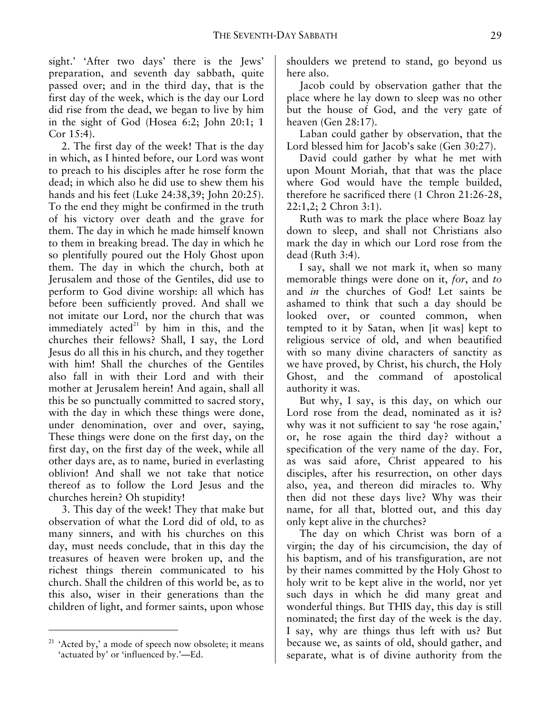sight.' 'After two days' there is the Jews' preparation, and seventh day sabbath, quite passed over; and in the third day, that is the first day of the week, which is the day our Lord did rise from the dead, we began to live by him in the sight of God (Hosea 6:2; John 20:1; 1 Cor 15:4).

 2. The first day of the week! That is the day in which, as I hinted before, our Lord was wont to preach to his disciples after he rose form the dead; in which also he did use to shew them his hands and his feet (Luke 24:38,39; John 20:25). To the end they might be confirmed in the truth of his victory over death and the grave for them. The day in which he made himself known to them in breaking bread. The day in which he so plentifully poured out the Holy Ghost upon them. The day in which the church, both at Jerusalem and those of the Gentiles, did use to perform to God divine worship: all which has before been sufficiently proved. And shall we not imitate our Lord, nor the church that was immediately acted<sup>21</sup> by him in this, and the churches their fellows? Shall, I say, the Lord Jesus do all this in his church, and they together with him! Shall the churches of the Gentiles also fall in with their Lord and with their mother at Jerusalem herein! And again, shall all this be so punctually committed to sacred story, with the day in which these things were done, under denomination, over and over, saying, These things were done on the first day, on the first day, on the first day of the week, while all other days are, as to name, buried in everlasting oblivion! And shall we not take that notice thereof as to follow the Lord Jesus and the churches herein? Oh stupidity!

 3. This day of the week! They that make but observation of what the Lord did of old, to as many sinners, and with his churches on this day, must needs conclude, that in this day the treasures of heaven were broken up, and the richest things therein communicated to his church. Shall the children of this world be, as to this also, wiser in their generations than the children of light, and former saints, upon whose shoulders we pretend to stand, go beyond us here also.

 Jacob could by observation gather that the place where he lay down to sleep was no other but the house of God, and the very gate of heaven (Gen 28:17).

 Laban could gather by observation, that the Lord blessed him for Jacob's sake (Gen 30:27).

 David could gather by what he met with upon Mount Moriah, that that was the place where God would have the temple builded, therefore he sacrificed there (1 Chron 21:26-28, 22:1,2; 2 Chron 3:1).

 Ruth was to mark the place where Boaz lay down to sleep, and shall not Christians also mark the day in which our Lord rose from the dead (Ruth 3:4).

 I say, shall we not mark it, when so many memorable things were done on it, *for*, and *to* and *in* the churches of God! Let saints be ashamed to think that such a day should be looked over, or counted common, when tempted to it by Satan, when [it was] kept to religious service of old, and when beautified with so many divine characters of sanctity as we have proved, by Christ, his church, the Holy Ghost, and the command of apostolical authority it was.

 But why, I say, is this day, on which our Lord rose from the dead, nominated as it is? why was it not sufficient to say 'he rose again,' or, he rose again the third day? without a specification of the very name of the day. For, as was said afore, Christ appeared to his disciples, after his resurrection, on other days also, yea, and thereon did miracles to. Why then did not these days live? Why was their name, for all that, blotted out, and this day only kept alive in the churches?

 The day on which Christ was born of a virgin; the day of his circumcision, the day of his baptism, and of his transfiguration, are not by their names committed by the Holy Ghost to holy writ to be kept alive in the world, nor yet such days in which he did many great and wonderful things. But THIS day, this day is still nominated; the first day of the week is the day. I say, why are things thus left with us? But because we, as saints of old, should gather, and separate, what is of divine authority from the

<sup>&</sup>lt;sup>21</sup> 'Acted by,' a mode of speech now obsolete; it means 'actuated by' or 'influenced by.'—Ed.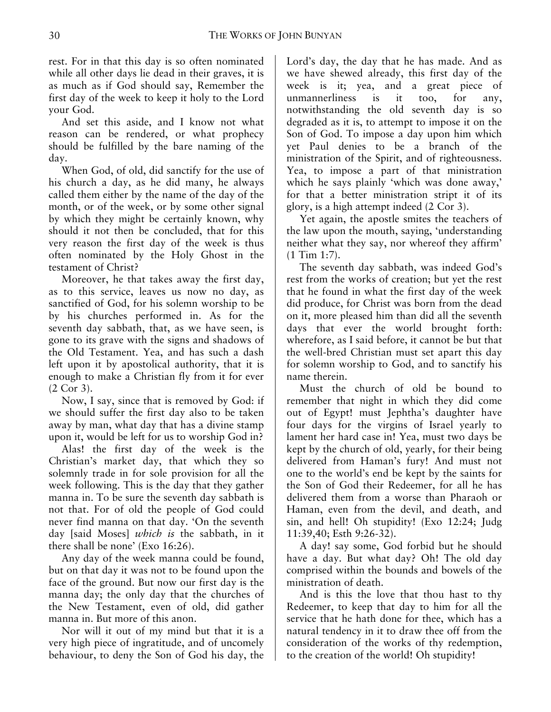rest. For in that this day is so often nominated while all other days lie dead in their graves, it is as much as if God should say, Remember the first day of the week to keep it holy to the Lord your God.

 And set this aside, and I know not what reason can be rendered, or what prophecy should be fulfilled by the bare naming of the day.

 When God, of old, did sanctify for the use of his church a day, as he did many, he always called them either by the name of the day of the month, or of the week, or by some other signal by which they might be certainly known, why should it not then be concluded, that for this very reason the first day of the week is thus often nominated by the Holy Ghost in the testament of Christ?

 Moreover, he that takes away the first day, as to this service, leaves us now no day, as sanctified of God, for his solemn worship to be by his churches performed in. As for the seventh day sabbath, that, as we have seen, is gone to its grave with the signs and shadows of the Old Testament. Yea, and has such a dash left upon it by apostolical authority, that it is enough to make a Christian fly from it for ever (2 Cor 3).

 Now, I say, since that is removed by God: if we should suffer the first day also to be taken away by man, what day that has a divine stamp upon it, would be left for us to worship God in?

 Alas! the first day of the week is the Christian's market day, that which they so solemnly trade in for sole provision for all the week following. This is the day that they gather manna in. To be sure the seventh day sabbath is not that. For of old the people of God could never find manna on that day. 'On the seventh day [said Moses] *which is* the sabbath, in it there shall be none' (Exo 16:26).

 Any day of the week manna could be found, but on that day it was not to be found upon the face of the ground. But now our first day is the manna day; the only day that the churches of the New Testament, even of old, did gather manna in. But more of this anon.

 Nor will it out of my mind but that it is a very high piece of ingratitude, and of uncomely behaviour, to deny the Son of God his day, the Lord's day, the day that he has made. And as we have shewed already, this first day of the week is it; yea, and a great piece of unmannerliness is it too, for any, notwithstanding the old seventh day is so degraded as it is, to attempt to impose it on the Son of God. To impose a day upon him which yet Paul denies to be a branch of the ministration of the Spirit, and of righteousness. Yea, to impose a part of that ministration which he says plainly 'which was done away,' for that a better ministration stript it of its glory, is a high attempt indeed (2 Cor 3).

 Yet again, the apostle smites the teachers of the law upon the mouth, saying, 'understanding neither what they say, nor whereof they affirm' (1 Tim 1:7).

 The seventh day sabbath, was indeed God's rest from the works of creation; but yet the rest that he found in what the first day of the week did produce, for Christ was born from the dead on it, more pleased him than did all the seventh days that ever the world brought forth: wherefore, as I said before, it cannot be but that the well-bred Christian must set apart this day for solemn worship to God, and to sanctify his name therein.

 Must the church of old be bound to remember that night in which they did come out of Egypt! must Jephtha's daughter have four days for the virgins of Israel yearly to lament her hard case in! Yea, must two days be kept by the church of old, yearly, for their being delivered from Haman's fury! And must not one to the world's end be kept by the saints for the Son of God their Redeemer, for all he has delivered them from a worse than Pharaoh or Haman, even from the devil, and death, and sin, and hell! Oh stupidity! (Exo 12:24; Judg 11:39,40; Esth 9:26-32).

 A day! say some, God forbid but he should have a day. But what day? Oh! The old day comprised within the bounds and bowels of the ministration of death.

 And is this the love that thou hast to thy Redeemer, to keep that day to him for all the service that he hath done for thee, which has a natural tendency in it to draw thee off from the consideration of the works of thy redemption, to the creation of the world! Oh stupidity!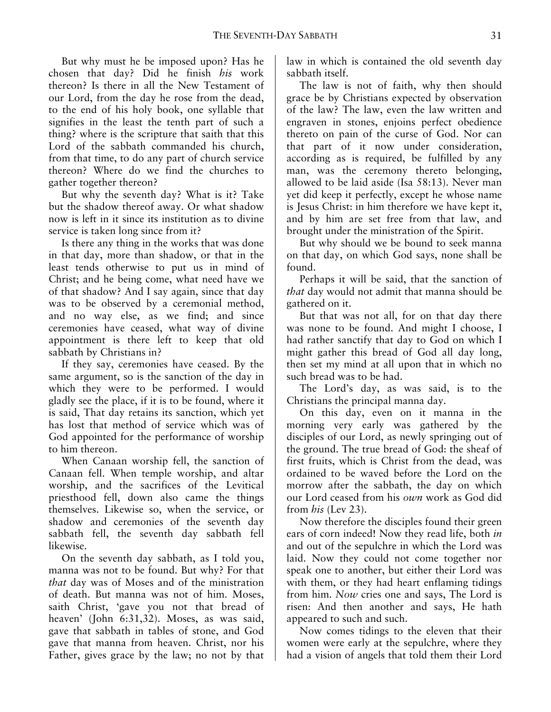But why must he be imposed upon? Has he chosen that day? Did he finish *his* work thereon? Is there in all the New Testament of our Lord, from the day he rose from the dead, to the end of his holy book, one syllable that signifies in the least the tenth part of such a thing? where is the scripture that saith that this Lord of the sabbath commanded his church, from that time, to do any part of church service thereon? Where do we find the churches to gather together thereon?

 But why the seventh day? What is it? Take but the shadow thereof away. Or what shadow now is left in it since its institution as to divine service is taken long since from it?

 Is there any thing in the works that was done in that day, more than shadow, or that in the least tends otherwise to put us in mind of Christ; and he being come, what need have we of that shadow? And I say again, since that day was to be observed by a ceremonial method, and no way else, as we find; and since ceremonies have ceased, what way of divine appointment is there left to keep that old sabbath by Christians in?

 If they say, ceremonies have ceased. By the same argument, so is the sanction of the day in which they were to be performed. I would gladly see the place, if it is to be found, where it is said, That day retains its sanction, which yet has lost that method of service which was of God appointed for the performance of worship to him thereon.

 When Canaan worship fell, the sanction of Canaan fell. When temple worship, and altar worship, and the sacrifices of the Levitical priesthood fell, down also came the things themselves. Likewise so, when the service, or shadow and ceremonies of the seventh day sabbath fell, the seventh day sabbath fell likewise.

 On the seventh day sabbath, as I told you, manna was not to be found. But why? For that *that* day was of Moses and of the ministration of death. But manna was not of him. Moses, saith Christ, 'gave you not that bread of heaven' (John 6:31,32). Moses, as was said, gave that sabbath in tables of stone, and God gave that manna from heaven. Christ, nor his Father, gives grace by the law; no not by that law in which is contained the old seventh day sabbath itself.

 The law is not of faith, why then should grace be by Christians expected by observation of the law? The law, even the law written and engraven in stones, enjoins perfect obedience thereto on pain of the curse of God. Nor can that part of it now under consideration, according as is required, be fulfilled by any man, was the ceremony thereto belonging, allowed to be laid aside (Isa 58:13). Never man yet did keep it perfectly, except he whose name is Jesus Christ: in him therefore we have kept it, and by him are set free from that law, and brought under the ministration of the Spirit.

 But why should we be bound to seek manna on that day, on which God says, none shall be found.

 Perhaps it will be said, that the sanction of *that* day would not admit that manna should be gathered on it.

 But that was not all, for on that day there was none to be found. And might I choose, I had rather sanctify that day to God on which I might gather this bread of God all day long, then set my mind at all upon that in which no such bread was to be had.

 The Lord's day, as was said, is to the Christians the principal manna day.

 On this day, even on it manna in the morning very early was gathered by the disciples of our Lord, as newly springing out of the ground. The true bread of God: the sheaf of first fruits, which is Christ from the dead, was ordained to be waved before the Lord on the morrow after the sabbath, the day on which our Lord ceased from his *own* work as God did from *his* (Lev 23).

 Now therefore the disciples found their green ears of corn indeed! Now they read life, both *in* and out of the sepulchre in which the Lord was laid. Now they could not come together nor speak one to another, but either their Lord was with them, or they had heart enflaming tidings from him. *Now* cries one and says, The Lord is risen: And then another and says, He hath appeared to such and such.

 Now comes tidings to the eleven that their women were early at the sepulchre, where they had a vision of angels that told them their Lord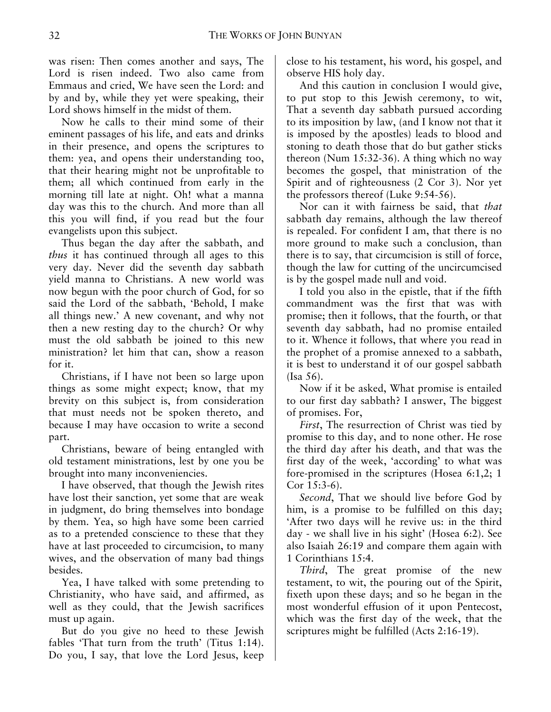was risen: Then comes another and says, The Lord is risen indeed. Two also came from Emmaus and cried, We have seen the Lord: and by and by, while they yet were speaking, their Lord shows himself in the midst of them.

 Now he calls to their mind some of their eminent passages of his life, and eats and drinks in their presence, and opens the scriptures to them: yea, and opens their understanding too, that their hearing might not be unprofitable to them; all which continued from early in the morning till late at night. Oh! what a manna day was this to the church. And more than all this you will find, if you read but the four evangelists upon this subject.

 Thus began the day after the sabbath, and *thus* it has continued through all ages to this very day. Never did the seventh day sabbath yield manna to Christians. A new world was now begun with the poor church of God, for so said the Lord of the sabbath, 'Behold, I make all things new.' A new covenant, and why not then a new resting day to the church? Or why must the old sabbath be joined to this new ministration? let him that can, show a reason for it.

 Christians, if I have not been so large upon things as some might expect; know, that my brevity on this subject is, from consideration that must needs not be spoken thereto, and because I may have occasion to write a second part.

 Christians, beware of being entangled with old testament ministrations, lest by one you be brought into many inconveniencies.

 I have observed, that though the Jewish rites have lost their sanction, yet some that are weak in judgment, do bring themselves into bondage by them. Yea, so high have some been carried as to a pretended conscience to these that they have at last proceeded to circumcision, to many wives, and the observation of many bad things besides.

 Yea, I have talked with some pretending to Christianity, who have said, and affirmed, as well as they could, that the Jewish sacrifices must up again.

 But do you give no heed to these Jewish fables 'That turn from the truth' (Titus 1:14). Do you, I say, that love the Lord Jesus, keep close to his testament, his word, his gospel, and observe HIS holy day.

 And this caution in conclusion I would give, to put stop to this Jewish ceremony, to wit, That a seventh day sabbath pursued according to its imposition by law, (and I know not that it is imposed by the apostles) leads to blood and stoning to death those that do but gather sticks thereon (Num 15:32-36). A thing which no way becomes the gospel, that ministration of the Spirit and of righteousness (2 Cor 3). Nor yet the professors thereof (Luke 9:54-56).

 Nor can it with fairness be said, that *that* sabbath day remains, although the law thereof is repealed. For confident I am, that there is no more ground to make such a conclusion, than there is to say, that circumcision is still of force, though the law for cutting of the uncircumcised is by the gospel made null and void.

 I told you also in the epistle, that if the fifth commandment was the first that was with promise; then it follows, that the fourth, or that seventh day sabbath, had no promise entailed to it. Whence it follows, that where you read in the prophet of a promise annexed to a sabbath, it is best to understand it of our gospel sabbath (Isa 56).

 Now if it be asked, What promise is entailed to our first day sabbath? I answer, The biggest of promises. For,

 *First*, The resurrection of Christ was tied by promise to this day, and to none other. He rose the third day after his death, and that was the first day of the week, 'according' to what was fore-promised in the scriptures (Hosea 6:1,2; 1 Cor 15:3-6).

 *Second*, That we should live before God by him, is a promise to be fulfilled on this day; 'After two days will he revive us: in the third day - we shall live in his sight' (Hosea 6:2). See also Isaiah 26:19 and compare them again with 1 Corinthians 15:4.

 *Third*, The great promise of the new testament, to wit, the pouring out of the Spirit, fixeth upon these days; and so he began in the most wonderful effusion of it upon Pentecost, which was the first day of the week, that the scriptures might be fulfilled (Acts 2:16-19).